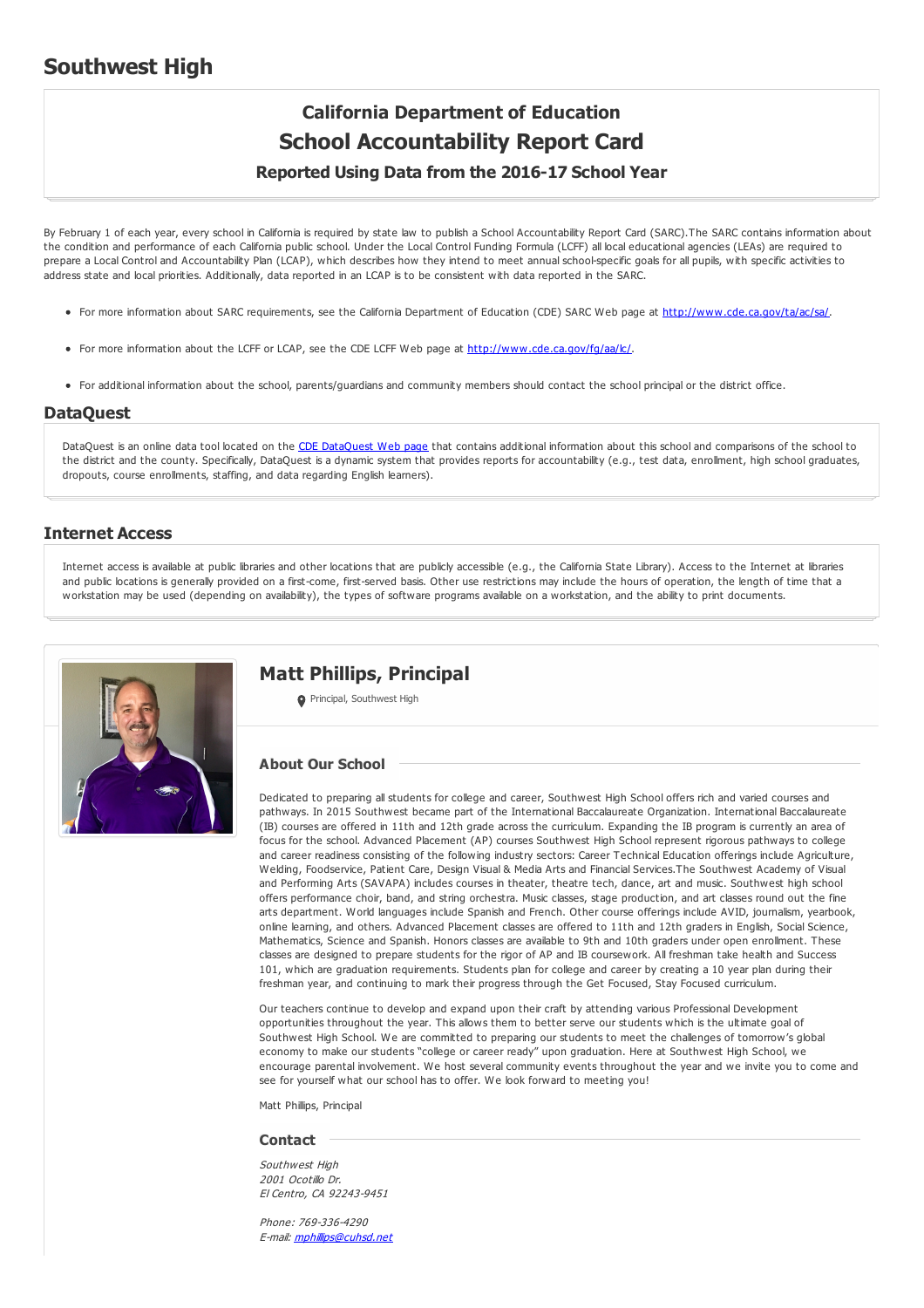## **Southwest High**

# **California Department of Education School Accountability Report Card**

## **Reported Using Data from the 2016-17 School Year**

By February 1 of each year, every school in California is required by state law to publish a School Accountability Report Card (SARC).The SARC contains information about the condition and performance of each California public school. Under the Local Control Funding Formula (LCFF) all local educational agencies (LEAs) are required to prepare a Local Control and Accountability Plan (LCAP), which describes how they intend to meet annual school-specific goals for all pupils, with specific activities to address state and local priorities. Additionally, data reported in an LCAP is to be consistent with data reported in the SARC.

- For more information about SARC requirements, see the California Department of Education (CDE) SARC Web page at <http://www.cde.ca.gov/ta/ac/sa/>.
- For more information about the LCFF or LCAP, see the CDE LCFF Web page at <http://www.cde.ca.gov/fg/aa/lc/>.
- For additional information about the school, parents/guardians and community members should contact the school principal or the district office.

## **DataQuest**

[DataQuest](http://dq.cde.ca.gov/dataquest/) is an online data tool located on the CDE DataQuest Web page that contains additional information about this school and comparisons of the school to the district and the county. Specifically, DataQuest is a dynamic system that provides reports for accountability (e.g., test data, enrollment, high school graduates, dropouts, course enrollments, staffing, and data regarding English learners).

## **Internet Access**

Internet access is available at public libraries and other locations that are publicly accessible (e.g., the California State Library). Access to the Internet at libraries and public locations is generally provided on a first-come, first-served basis. Other use restrictions may include the hours of operation, the length of time that a workstation may be used (depending on availability), the types of software programs available on a workstation, and the ability to print documents.



## **Matt Phillips, Principal**

**Principal, Southwest High** 

#### **About Our School**

Dedicated to preparing all students for college and career, Southwest High School offers rich and varied courses and pathways. In 2015 Southwest became part of the International Baccalaureate Organization. International Baccalaureate (IB) courses are offered in 11th and 12th grade across the curriculum. Expanding the IB program is currently an area of focus for the school. Advanced Placement (AP) courses Southwest High School represent rigorous pathways to college and career readiness consisting of the following industry sectors: Career Technical Education offerings include Agriculture, Welding, Foodservice, Patient Care, Design Visual & Media Arts and Financial Services.The Southwest Academy of Visual and Performing Arts (SAVAPA) includes courses in theater, theatre tech, dance, art and music. Southwest high school offers performance choir, band, and string orchestra. Music classes, stage production, and art classes round out the fine arts department. World languages include Spanish and French. Other course offerings include AVID, journalism, yearbook, online learning, and others. Advanced Placement classes are offered to 11th and 12th graders in English, Social Science, Mathematics, Science and Spanish. Honors classes are available to 9th and 10th graders under open enrollment. These classes are designed to prepare students for the rigor of AP and IB coursework. All freshman take health and Success 101, which are graduation requirements. Students plan for college and career by creating a 10 year plan during their freshman year, and continuing to mark their progress through the Get Focused, Stay Focused curriculum.

Our teachers continue to develop and expand upon their craft by attending various Professional Development opportunities throughout the year. This allows them to better serve our students which is the ultimate goal of Southwest High School. We are committed to preparing our students to meet the challenges of tomorrow's global economy to make our students "college or career ready" upon graduation. Here at Southwest High School, we encourage parental involvement. We host several community events throughout the year and we invite you to come and see for yourself what our school has to offer. We look forward to meeting you!

Matt Phillips, Principal

#### **Contact**

Southwest High 2001 Ocotillo Dr. El Centro, CA 92243-9451

Phone: 769-336-4290 E-mail: [mphillips@cuhsd.net](mailto:mphillips@cuhsd.net)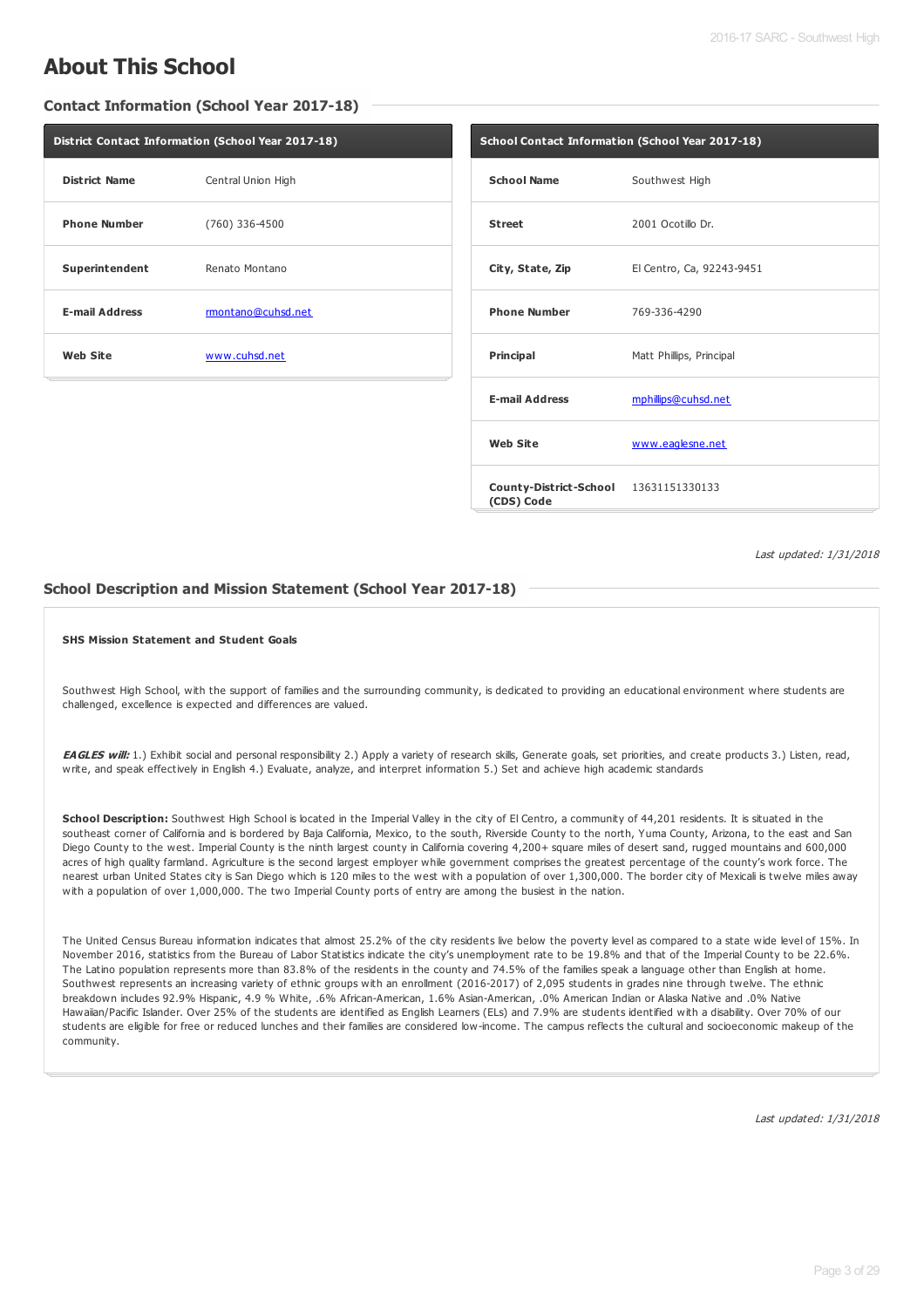## **About This School**

**Contact Information (School Year 2017-18)**

| District Contact Information (School Year 2017-18) |                    |  |  |
|----------------------------------------------------|--------------------|--|--|
| <b>District Name</b>                               | Central Union High |  |  |
| <b>Phone Number</b>                                | (760) 336-4500     |  |  |
| Superintendent                                     | Renato Montano     |  |  |
| <b>E-mail Address</b>                              | rmontano@cuhsd.net |  |  |
| <b>Web Site</b>                                    | www.cuhsd.net      |  |  |

| School Contact Information (School Year 2017-18)    |                           |  |  |  |
|-----------------------------------------------------|---------------------------|--|--|--|
| <b>School Name</b>                                  | Southwest High            |  |  |  |
| <b>Street</b>                                       | 2001 Ocotillo Dr.         |  |  |  |
| City, State, Zip                                    | El Centro, Ca, 92243-9451 |  |  |  |
| <b>Phone Number</b>                                 | 769-336-4290              |  |  |  |
| <b>Principal</b>                                    | Matt Phillips, Principal  |  |  |  |
| <b>E-mail Address</b>                               | mphillips@cuhsd.net       |  |  |  |
| <b>Web Site</b>                                     | www.eaglesne.net          |  |  |  |
| County-District-School 13631151330133<br>(CDS) Code |                           |  |  |  |

Last updated: 1/31/2018

## **School Description and Mission Statement (School Year 2017-18)**

#### **SHS Mission Statement and Student Goals**

Southwest High School, with the support of families and the surrounding community, is dedicated to providing an educational environment where students are challenged, excellence is expected and differences are valued.

EAGLES will: 1.) Exhibit social and personal responsibility 2.) Apply a variety of research skills, Generate goals, set priorities, and create products 3.) Listen, read, write, and speak effectively in English 4.) Evaluate, analyze, and interpret information 5.) Set and achieve high academic standards

**School Description:** Southwest High School is located in the Imperial Valley in the city of El Centro, a community of 44,201 residents. It is situated in the southeast corner of California and is bordered by Baja California, Mexico, to the south, Riverside County to the north, Yuma County, Arizona, to the east and San Diego County to the west. Imperial County is the ninth largest county in California covering 4,200+ square miles of desert sand, rugged mountains and 600,000 acres of high quality farmland. Agriculture is the second largest employer while government comprises the greatest percentage of the county's work force. The nearest urban United States city is San Diego which is 120 miles to the west with a population of over 1,300,000. The border city of Mexicali is twelve miles away with a population of over 1,000,000. The two Imperial County ports of entry are among the busiest in the nation.

The United Census Bureau information indicates that almost 25.2% of the city residents live below the poverty level as compared to a state wide level of 15%. In November 2016, statistics from the Bureau of Labor Statistics indicate the city's unemployment rate to be 19.8% and that of the Imperial County to be 22.6%. The Latino population represents more than 83.8% of the residents in the county and 74.5% of the families speak a language other than English at home. Southwest represents an increasing variety of ethnic groups with an enrollment (2016-2017) of 2,095 students in grades nine through twelve. The ethnic breakdown includes 92.9% Hispanic, 4.9 % White, .6% African-American, 1.6% Asian-American, .0% American Indian or Alaska Native and .0% Native Hawaiian/Pacific Islander. Over 25% of the students are identified as English Learners (ELs) and 7.9% are students identified with a disability. Over 70% of our students are eligible for free or reduced lunches and their families are considered low-income. The campus reflects the cultural and socioeconomic makeup of the community.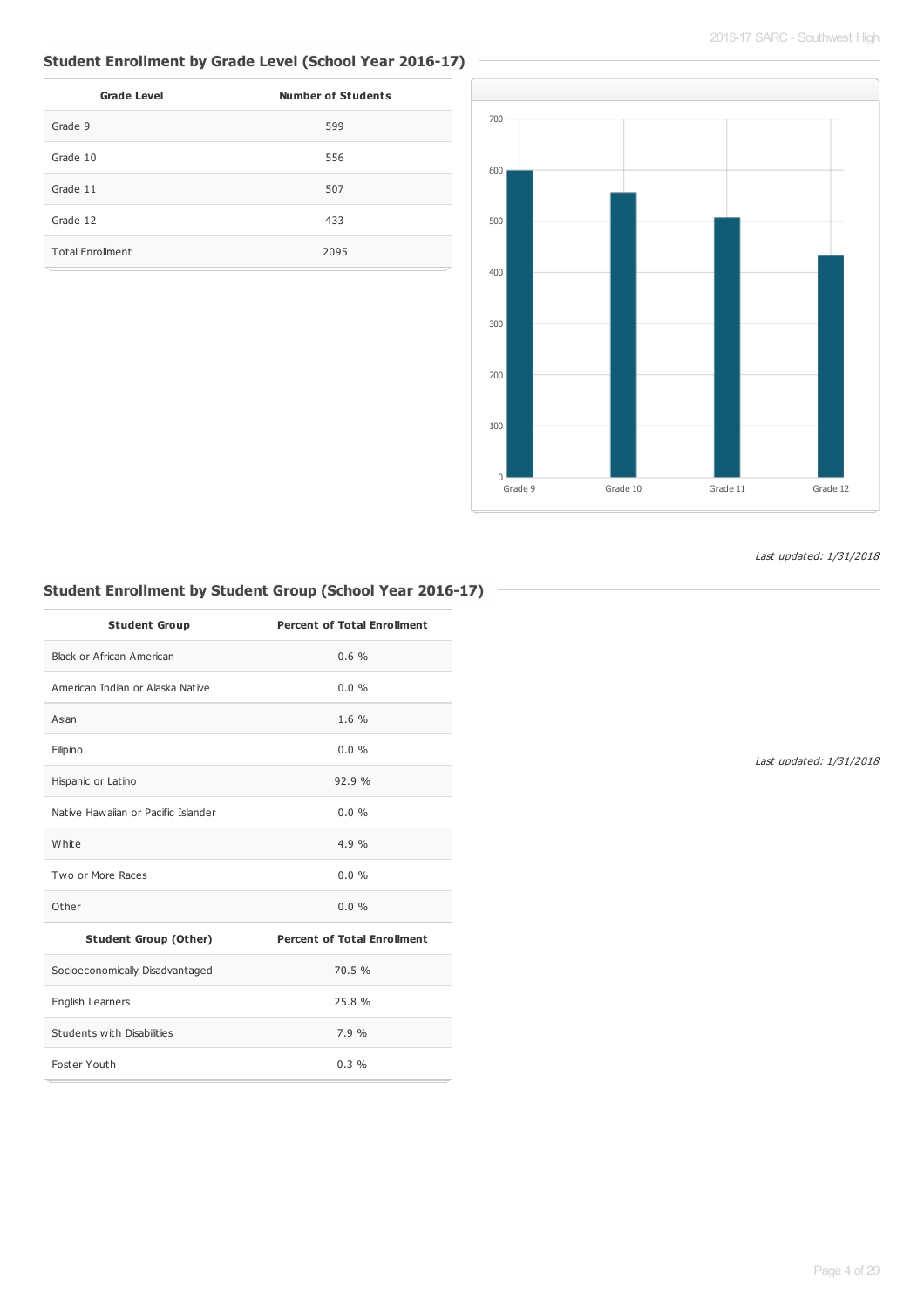## **Student Enrollment by Grade Level (School Year 2016-17)**

| <b>Grade Level</b>      | <b>Number of Students</b> |
|-------------------------|---------------------------|
| Grade 9                 | 599                       |
| Grade 10                | 556                       |
| Grade 11                | 507                       |
| Grade 12                | 433                       |
| <b>Total Enrollment</b> | 2095                      |



Last updated: 1/31/2018

## **Student Enrollment by Student Group (School Year 2016-17)**

| <b>Student Group</b>                | <b>Percent of Total Enrollment</b> |
|-------------------------------------|------------------------------------|
| Black or African American           | 0.6%                               |
| American Indian or Alaska Native    | $0.0\%$                            |
| Asian                               | 1.6%                               |
| Filipino                            | 0.0%                               |
| Hispanic or Latino                  | 92.9%                              |
| Native Hawaijan or Pacific Islander | $0.0\%$                            |
| White                               | 4.9%                               |
| Two or More Races                   | 0.0%                               |
| Other                               | $0.0\%$                            |
| <b>Student Group (Other)</b>        | <b>Percent of Total Enrollment</b> |
| Socioeconomically Disadvantaged     | 70.5 %                             |
| English Learners                    | 25.8 %                             |
| Students with Disabilities          | 7.9%                               |
| Foster Youth                        | $0.3\%$                            |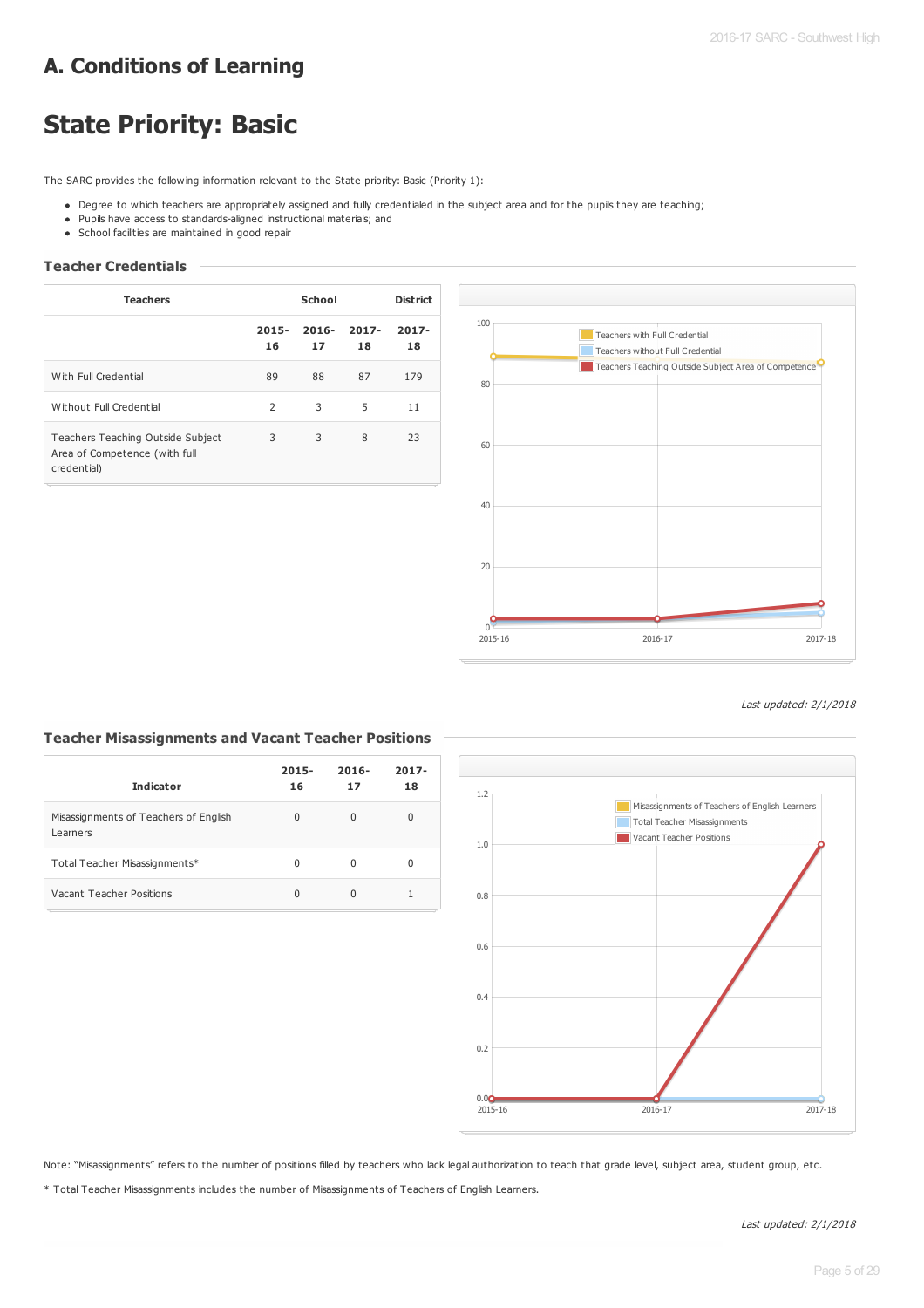## **A. Conditions of Learning**

# **State Priority: Basic**

The SARC provides the following information relevant to the State priority: Basic (Priority 1):

- . Degree to which teachers are appropriately assigned and fully credentialed in the subject area and for the pupils they are teaching;
- Pupils have access to standards-aligned instructional materials; and
- School facilities are maintained in good repair

## **Teacher Credentials**

| <b>Teachers</b>                                                                   | School         |                |                | <b>District</b> |
|-----------------------------------------------------------------------------------|----------------|----------------|----------------|-----------------|
|                                                                                   | $2015 -$<br>16 | $2016 -$<br>17 | $2017 -$<br>18 | $2017 -$<br>18  |
| With Full Credential                                                              | 89             | 88             | 87             | 179             |
| Without Full Credential                                                           | 2              | 3              | 5              | 11              |
| Teachers Teaching Outside Subject<br>Area of Competence (with full<br>credential) | 3              | 3              | 8              | 23              |



#### Last updated: 2/1/2018

## **Teacher Misassignments and Vacant Teacher Positions**

| <b>Indicator</b>                                  | $2015 -$<br>16 | $2016 -$<br>17 | $2017 -$<br>18 |
|---------------------------------------------------|----------------|----------------|----------------|
| Misassignments of Teachers of English<br>Learners | 0              | U              | 0              |
| Total Teacher Misassignments*                     | 0              | O              | 0              |
| Vacant Teacher Positions                          | 0              |                |                |



Note: "Misassignments" refers to the number of positions filled by teachers who lack legal authorization to teach that grade level, subject area, student group, etc.

\* Total Teacher Misassignments includes the number of Misassignments of Teachers of English Learners.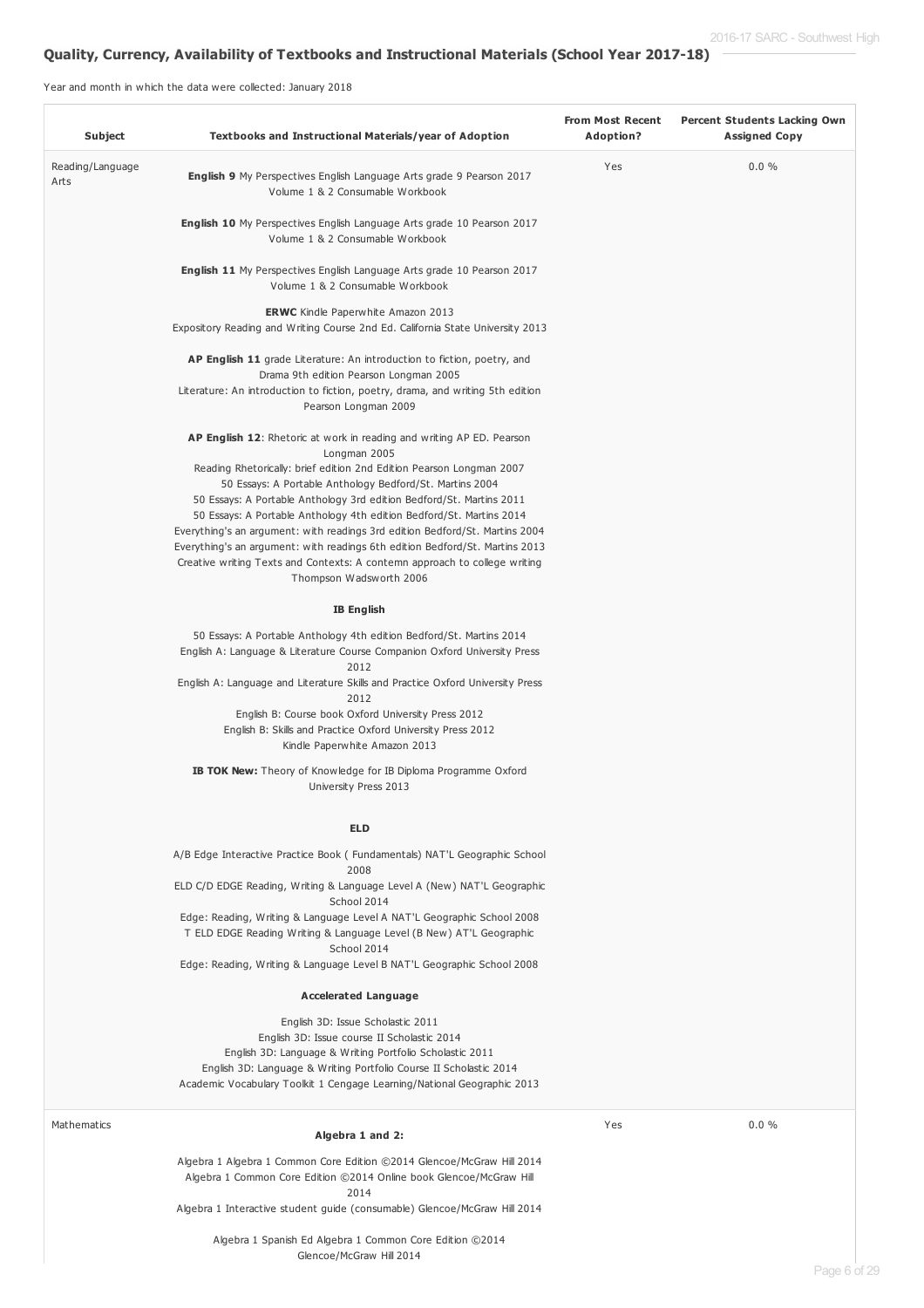## **Quality, Currency, Availability of Textbooks and Instructional Materials (School Year 2017-18)**

Year and month in which the data were collected: January 2018

| Subject                  | Textbooks and Instructional Materials/year of Adoption                                                                                                                                                                                                                                                                                                                                                                                                                                                                                                                                                                                                    | <b>From Most Recent</b><br>Adoption? | <b>Percent Students Lacking Own</b><br><b>Assigned Copy</b> |
|--------------------------|-----------------------------------------------------------------------------------------------------------------------------------------------------------------------------------------------------------------------------------------------------------------------------------------------------------------------------------------------------------------------------------------------------------------------------------------------------------------------------------------------------------------------------------------------------------------------------------------------------------------------------------------------------------|--------------------------------------|-------------------------------------------------------------|
| Reading/Language<br>Arts | <b>English 9</b> My Perspectives English Language Arts grade 9 Pearson 2017<br>Volume 1 & 2 Consumable Workbook                                                                                                                                                                                                                                                                                                                                                                                                                                                                                                                                           | Yes                                  | $0.0 \%$                                                    |
|                          | <b>English 10</b> My Perspectives English Language Arts grade 10 Pearson 2017<br>Volume 1 & 2 Consumable Workbook                                                                                                                                                                                                                                                                                                                                                                                                                                                                                                                                         |                                      |                                                             |
|                          | <b>English 11</b> My Perspectives English Language Arts grade 10 Pearson 2017<br>Volume 1 & 2 Consumable Workbook                                                                                                                                                                                                                                                                                                                                                                                                                                                                                                                                         |                                      |                                                             |
|                          | <b>ERWC</b> Kindle Paperwhite Amazon 2013<br>Expository Reading and Writing Course 2nd Ed. California State University 2013                                                                                                                                                                                                                                                                                                                                                                                                                                                                                                                               |                                      |                                                             |
|                          | <b>AP English 11</b> grade Literature: An introduction to fiction, poetry, and<br>Drama 9th edition Pearson Longman 2005<br>Literature: An introduction to fiction, poetry, drama, and writing 5th edition<br>Pearson Longman 2009                                                                                                                                                                                                                                                                                                                                                                                                                        |                                      |                                                             |
|                          | <b>AP English 12:</b> Rhetoric at work in reading and writing AP ED. Pearson<br>Longman 2005<br>Reading Rhetorically: brief edition 2nd Edition Pearson Longman 2007<br>50 Essays: A Portable Anthology Bedford/St. Martins 2004<br>50 Essays: A Portable Anthology 3rd edition Bedford/St. Martins 2011<br>50 Essays: A Portable Anthology 4th edition Bedford/St. Martins 2014<br>Everything's an argument: with readings 3rd edition Bedford/St. Martins 2004<br>Everything's an argument: with readings 6th edition Bedford/St. Martins 2013<br>Creative writing Texts and Contexts: A contemn approach to college writing<br>Thompson Wadsworth 2006 |                                      |                                                             |
|                          | <b>IB English</b>                                                                                                                                                                                                                                                                                                                                                                                                                                                                                                                                                                                                                                         |                                      |                                                             |
|                          | 50 Essays: A Portable Anthology 4th edition Bedford/St. Martins 2014<br>English A: Language & Literature Course Companion Oxford University Press<br>2012<br>English A: Language and Literature Skills and Practice Oxford University Press<br>2012<br>English B: Course book Oxford University Press 2012                                                                                                                                                                                                                                                                                                                                                |                                      |                                                             |
|                          | English B: Skills and Practice Oxford University Press 2012<br>Kindle Paperwhite Amazon 2013                                                                                                                                                                                                                                                                                                                                                                                                                                                                                                                                                              |                                      |                                                             |
|                          | <b>IB TOK New:</b> Theory of Knowledge for IB Diploma Programme Oxford<br>University Press 2013                                                                                                                                                                                                                                                                                                                                                                                                                                                                                                                                                           |                                      |                                                             |
|                          | <b>ELD</b>                                                                                                                                                                                                                                                                                                                                                                                                                                                                                                                                                                                                                                                |                                      |                                                             |
|                          | A/B Edge Interactive Practice Book (Fundamentals) NAT'L Geographic School<br>2008                                                                                                                                                                                                                                                                                                                                                                                                                                                                                                                                                                         |                                      |                                                             |
|                          | ELD C/D EDGE Reading, Writing & Language Level A (New) NAT'L Geographic<br>School 2014                                                                                                                                                                                                                                                                                                                                                                                                                                                                                                                                                                    |                                      |                                                             |
|                          | Edge: Reading, Writing & Language Level A NAT'L Geographic School 2008<br>T ELD EDGE Reading Writing & Language Level (B New) AT'L Geographic<br>School 2014<br>Edge: Reading, Writing & Language Level B NAT'L Geographic School 2008                                                                                                                                                                                                                                                                                                                                                                                                                    |                                      |                                                             |
|                          |                                                                                                                                                                                                                                                                                                                                                                                                                                                                                                                                                                                                                                                           |                                      |                                                             |
|                          | <b>Accelerated Language</b><br>English 3D: Issue Scholastic 2011<br>English 3D: Issue course II Scholastic 2014<br>English 3D: Language & Writing Portfolio Scholastic 2011<br>English 3D: Language & Writing Portfolio Course II Scholastic 2014<br>Academic Vocabulary Toolkit 1 Cengage Learning/National Geographic 2013                                                                                                                                                                                                                                                                                                                              |                                      |                                                             |
| Mathematics              | Algebra 1 and 2:                                                                                                                                                                                                                                                                                                                                                                                                                                                                                                                                                                                                                                          | Yes                                  | 0.0%                                                        |
|                          | Algebra 1 Algebra 1 Common Core Edition ©2014 Glencoe/McGraw Hill 2014<br>Algebra 1 Common Core Edition @2014 Online book Glencoe/McGraw Hill<br>2014<br>Algebra 1 Interactive student guide (consumable) Glencoe/McGraw Hill 2014                                                                                                                                                                                                                                                                                                                                                                                                                        |                                      |                                                             |
|                          | Algebra 1 Spanish Ed Algebra 1 Common Core Edition ©2014                                                                                                                                                                                                                                                                                                                                                                                                                                                                                                                                                                                                  |                                      |                                                             |

Glencoe/McGraw Hill 2014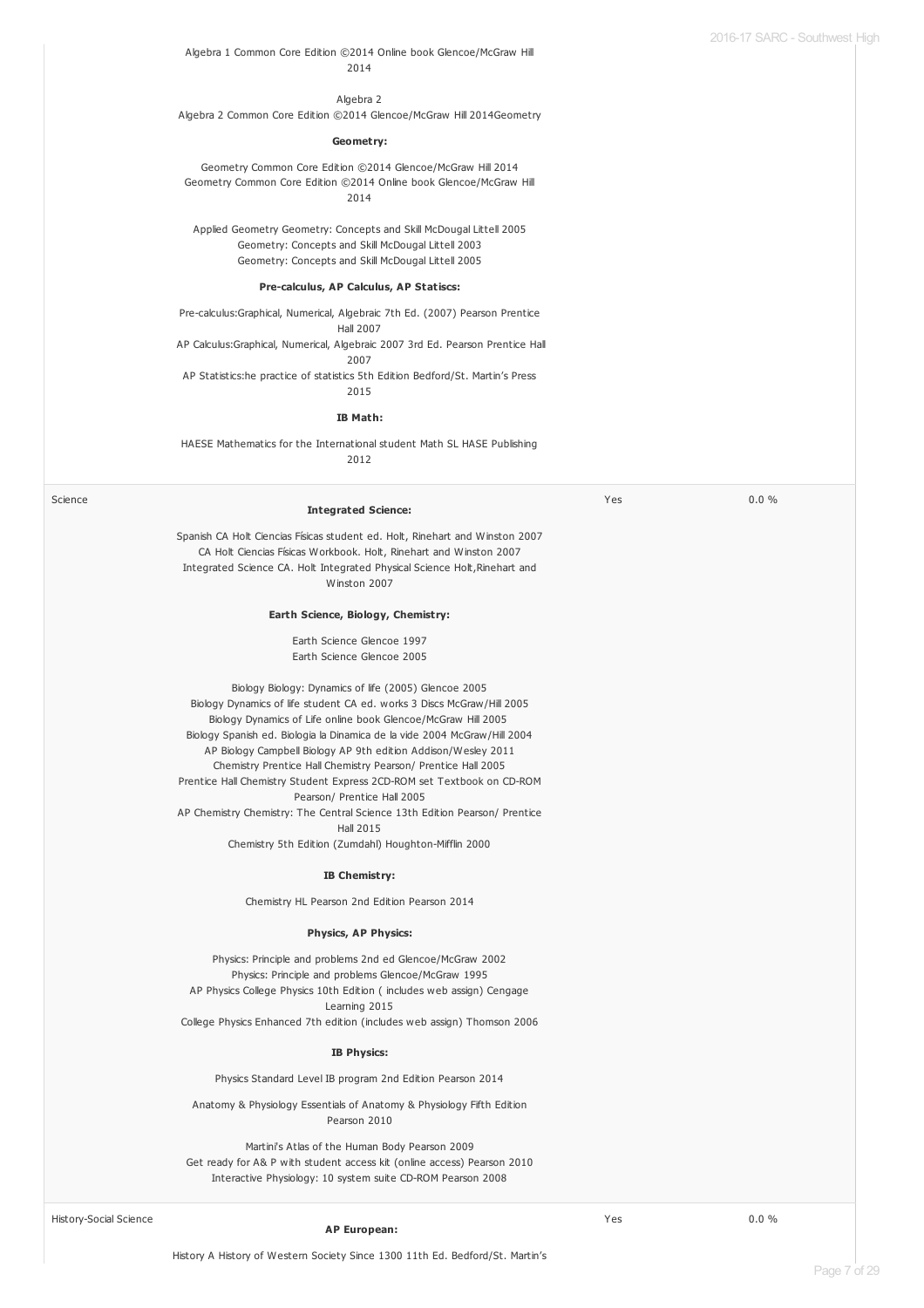#### Algebra 1 Common Core Edition ©2014 Online book Glencoe/McGraw Hill 2014

Algebra 2 Algebra 2 Common Core Edition ©2014 Glencoe/McGraw Hill 2014Geometry

#### **Geometry:**

Geometry Common Core Edition ©2014 Glencoe/McGraw Hill 2014 Geometry Common Core Edition ©2014 Online book Glencoe/McGraw Hill 2014

Applied Geometry Geometry: Concepts and Skill McDougal Littell 2005 Geometry: Concepts and Skill McDougal Littell 2003 Geometry: Concepts and Skill McDougal Littell 2005

#### **Pre-calculus, AP Calculus, AP Statiscs:**

Pre-calculus:Graphical, Numerical, Algebraic 7th Ed. (2007) Pearson Prentice Hall 2007 AP Calculus:Graphical, Numerical, Algebraic 2007 3rd Ed. Pearson Prentice Hall 2007 AP Statistics:he practice of statistics 5th Edition Bedford/St. Martin's Press 2015

#### **IB Math:**

HAESE Mathematics for the International student Math SL HASE Publishing 2012

| Science<br><b>Integrated Science:</b>                                                      | Yes | 0.0% |
|--------------------------------------------------------------------------------------------|-----|------|
|                                                                                            |     |      |
| Spanish CA Holt Ciencias Físicas student ed. Holt, Rinehart and Winston 2007               |     |      |
| CA Holt Ciencias Físicas Workbook. Holt, Rinehart and Winston 2007                         |     |      |
| Integrated Science CA. Holt Integrated Physical Science Holt, Rinehart and<br>Winston 2007 |     |      |
|                                                                                            |     |      |
| Earth Science, Biology, Chemistry:                                                         |     |      |
| Earth Science Glencoe 1997                                                                 |     |      |
| Earth Science Glencoe 2005                                                                 |     |      |
| Biology Biology: Dynamics of life (2005) Glencoe 2005                                      |     |      |
| Biology Dynamics of life student CA ed. works 3 Discs McGraw/Hill 2005                     |     |      |
| Biology Dynamics of Life online book Glencoe/McGraw Hill 2005                              |     |      |
| Biology Spanish ed. Biologia la Dinamica de la vide 2004 McGraw/Hill 2004                  |     |      |
| AP Biology Campbell Biology AP 9th edition Addison/Wesley 2011                             |     |      |
| Chemistry Prentice Hall Chemistry Pearson/ Prentice Hall 2005                              |     |      |
| Prentice Hall Chemistry Student Express 2CD-ROM set Textbook on CD-ROM                     |     |      |
| Pearson/ Prentice Hall 2005                                                                |     |      |
| AP Chemistry Chemistry: The Central Science 13th Edition Pearson/ Prentice                 |     |      |
| <b>Hall 2015</b>                                                                           |     |      |
| Chemistry 5th Edition (Zumdahl) Houghton-Mifflin 2000                                      |     |      |
| IB Chemistry:                                                                              |     |      |
| Chemistry HL Pearson 2nd Edition Pearson 2014                                              |     |      |
| <b>Physics, AP Physics:</b>                                                                |     |      |
| Physics: Principle and problems 2nd ed Glencoe/McGraw 2002                                 |     |      |
| Physics: Principle and problems Glencoe/McGraw 1995                                        |     |      |
| AP Physics College Physics 10th Edition (includes web assign) Cengage                      |     |      |
| Learning 2015                                                                              |     |      |
| College Physics Enhanced 7th edition (includes web assign) Thomson 2006                    |     |      |
| <b>IB Physics:</b>                                                                         |     |      |
| Physics Standard Level IB program 2nd Edition Pearson 2014                                 |     |      |
| Anatomy & Physiology Essentials of Anatomy & Physiology Fifth Edition<br>Pearson 2010      |     |      |
| Martini's Atlas of the Human Body Pearson 2009                                             |     |      |
| Get ready for A& P with student access kit (online access) Pearson 2010                    |     |      |
| Interactive Physiology: 10 system suite CD-ROM Pearson 2008                                |     |      |
|                                                                                            |     |      |
| <b>History-Social Science</b>                                                              | Yes | 0.0% |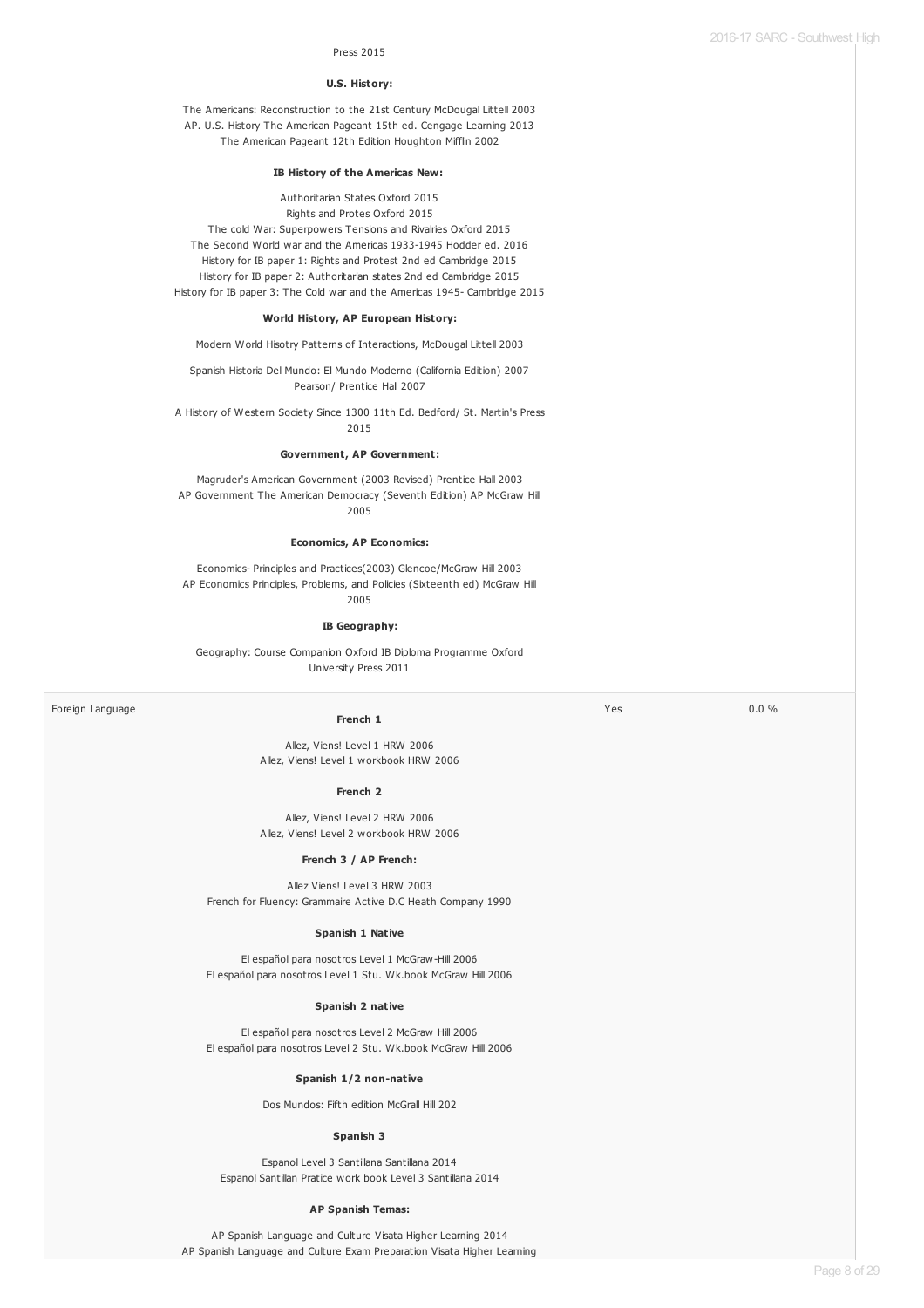$Y_{PS}$  0.0 %

#### Press 2015

#### **U.S. History:**

The Americans: Reconstruction to the 21st Century McDougal Littell 2003 AP. U.S. History The American Pageant 15th ed. Cengage Learning 2013 The American Pageant 12th Edition Houghton Mifflin 2002

#### **IB History of the Americas New:**

Authoritarian States Oxford 2015

Rights and Protes Oxford 2015 The cold War: Superpowers Tensions and Rivalries Oxford 2015 The Second World war and the Americas 1933-1945 Hodder ed. 2016 History for IB paper 1: Rights and Protest 2nd ed Cambridge 2015 History for IB paper 2: Authoritarian states 2nd ed Cambridge 2015 History for IB paper 3: The Cold war and the Americas 1945- Cambridge 2015

#### **World History, AP European History:**

Modern World Hisotry Patterns of Interactions, McDougal Littell 2003

Spanish Historia Del Mundo: El Mundo Moderno (California Edition) 2007 Pearson/ Prentice Hall 2007

A History of Western Society Since 1300 11th Ed. Bedford/ St. Martin's Press 2015

#### **Government, AP Government:**

Magruder's American Government (2003 Revised) Prentice Hall 2003 AP Government The American Democracy (Seventh Edition) AP McGraw Hill 2005

#### **Economics, AP Economics:**

Economics- Principles and Practices(2003) Glencoe/McGraw Hill 2003 AP Economics Principles, Problems, and Policies (Sixteenth ed) McGraw Hill 2005

#### **IB Geography:**

Geography: Course Companion Oxford IB Diploma Programme Oxford University Press 2011

Foreign Language

#### **French 1**

Allez, Viens! Level 1 HRW 2006 Allez, Viens! Level 1 workbook HRW 2006

#### **French 2**

Allez, Viens! Level 2 HRW 2006 Allez, Viens! Level 2 workbook HRW 2006

#### **French 3 / AP French:**

Allez Viens! Level 3 HRW 2003 French for Fluency: Grammaire Active D.C Heath Company 1990

#### **Spanish 1 Native**

El español para nosotros Level 1 McGraw-Hill 2006 El español para nosotros Level 1 Stu. Wk.book McGraw Hill 2006

#### **Spanish 2 native**

El español para nosotros Level 2 McGraw Hill 2006 El español para nosotros Level 2 Stu. Wk.book McGraw Hill 2006

#### **Spanish 1/2 non-native**

Dos Mundos: Fifth edition McGrall Hill 202

#### **Spanish 3**

Espanol Level 3 Santillana Santillana 2014 Espanol Santillan Pratice work book Level 3 Santillana 2014

#### **AP Spanish Temas:**

AP Spanish Language and Culture Visata Higher Learning 2014 AP Spanish Language and Culture Exam Preparation Visata Higher Learning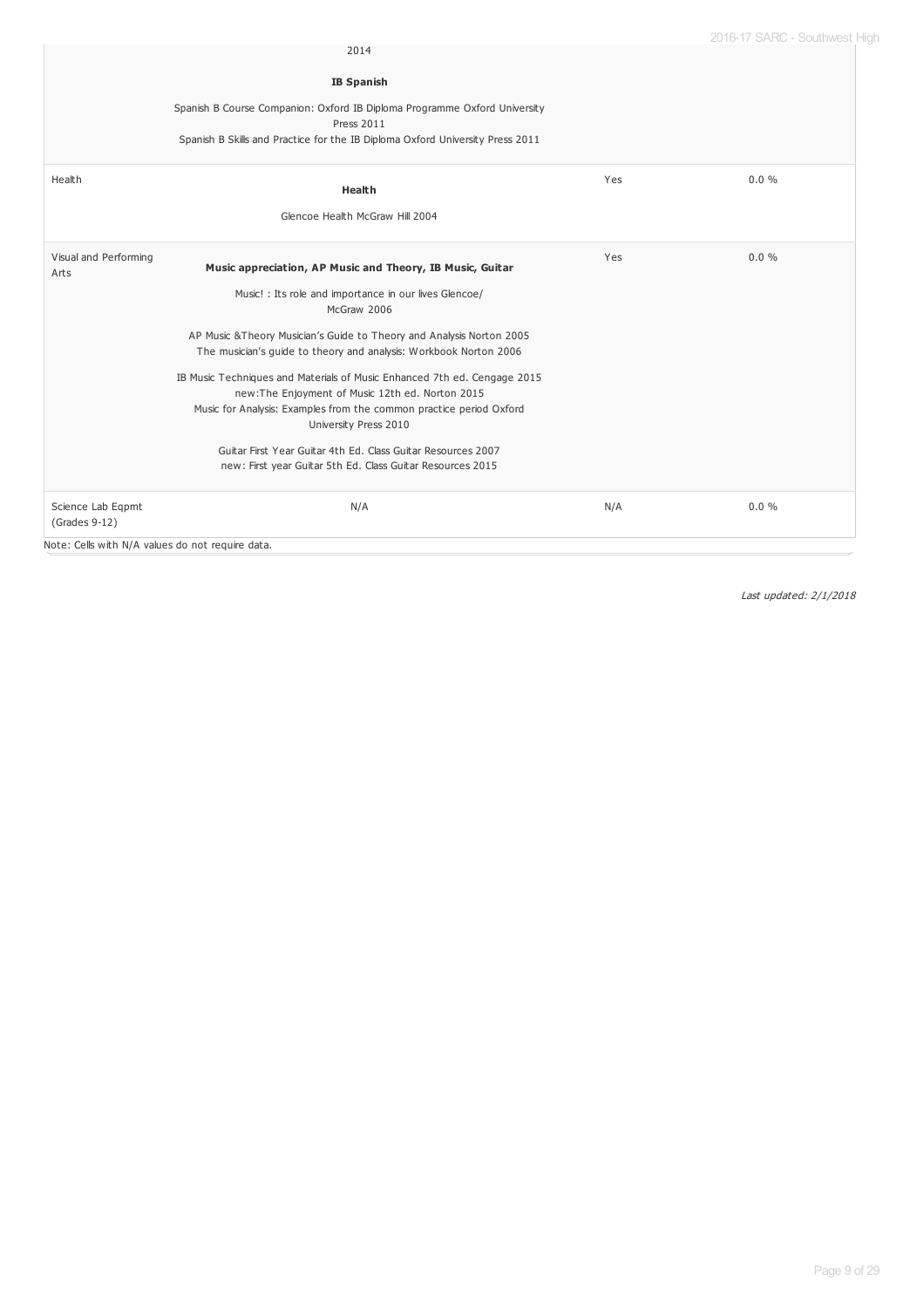|                                    | 2014                                                                                                                                                                                               |     |          |
|------------------------------------|----------------------------------------------------------------------------------------------------------------------------------------------------------------------------------------------------|-----|----------|
|                                    | <b>IB Spanish</b>                                                                                                                                                                                  |     |          |
|                                    | Spanish B Course Companion: Oxford IB Diploma Programme Oxford University<br><b>Press 2011</b><br>Spanish B Skills and Practice for the IB Diploma Oxford University Press 2011                    |     |          |
| Health                             | Health                                                                                                                                                                                             | Yes | $0.0 \%$ |
|                                    | Glencoe Health McGraw Hill 2004                                                                                                                                                                    |     |          |
| Visual and Performing<br>Arts      | Music appreciation, AP Music and Theory, IB Music, Guitar                                                                                                                                          | Yes | 0.0%     |
|                                    | Music! : Its role and importance in our lives Glencoe/<br>McGraw 2006                                                                                                                              |     |          |
|                                    | AP Music & Theory Musician's Guide to Theory and Analysis Norton 2005<br>The musician's guide to theory and analysis: Workbook Norton 2006                                                         |     |          |
|                                    | IB Music Techniques and Materials of Music Enhanced 7th ed. Cengage 2015<br>new:The Enjoyment of Music 12th ed. Norton 2015<br>Music for Analysis: Examples from the common practice period Oxford |     |          |
|                                    | University Press 2010<br>Guitar First Year Guitar 4th Ed. Class Guitar Resources 2007<br>new: First year Guitar 5th Ed. Class Guitar Resources 2015                                                |     |          |
| Science Lab Eqpmt<br>(Grades 9-12) | N/A                                                                                                                                                                                                | N/A | 0.0%     |

Note: Cells with N/A values do not require data.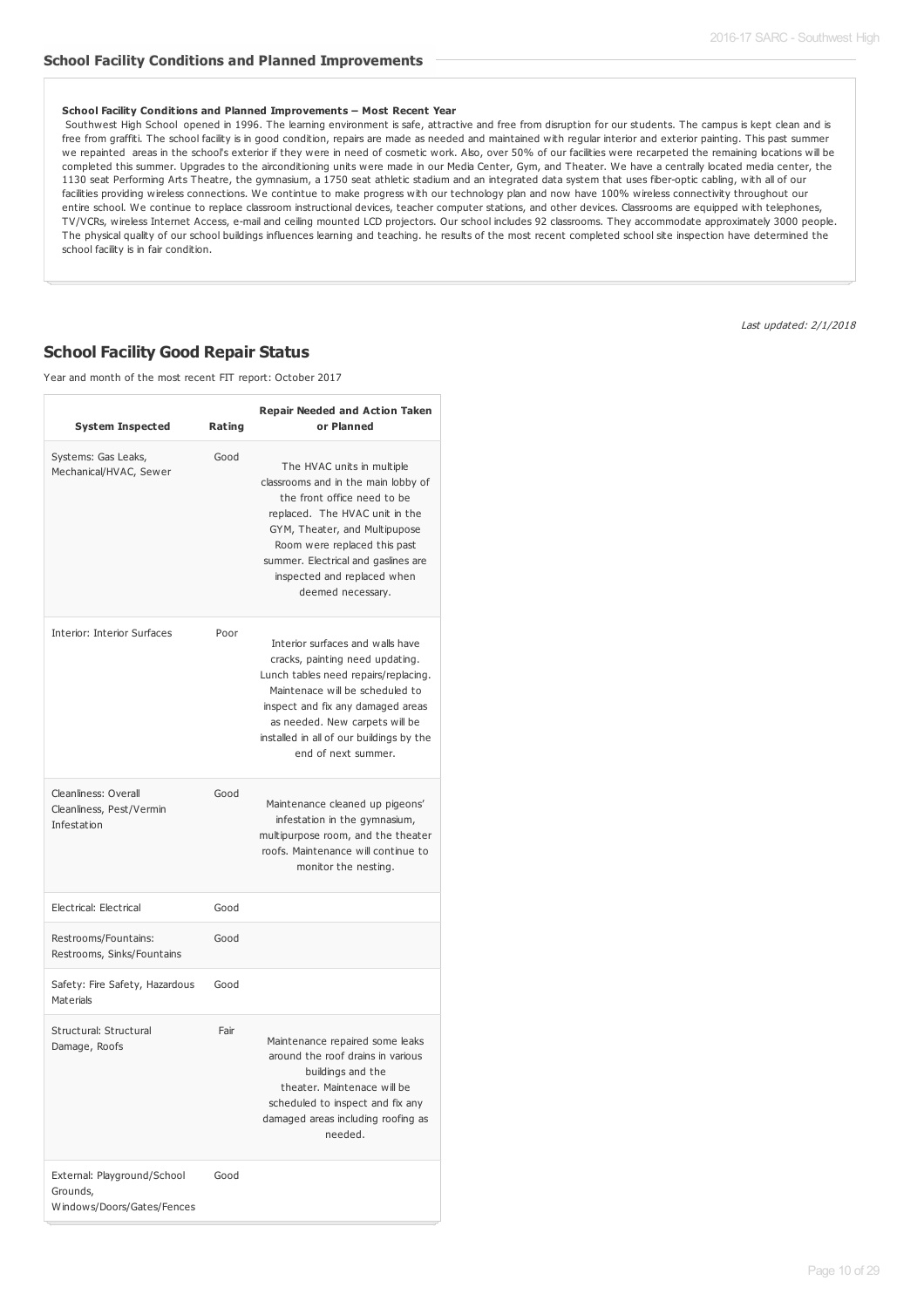#### **School Facility Conditions and Planned Improvements – Most Recent Year**

Southwest High School opened in 1996. The learning environment is safe, attractive and free from disruption for our students. The campus is kept clean and is free from graffiti. The school facility is in good condition, repairs are made as needed and maintained with regular interior and exterior painting. This past summer we repainted areas in the school's exterior if they were in need of cosmetic work. Also, over 50% of our facilities were recarpeted the remaining locations will be completed this summer. Upgrades to the airconditioning units were made in our Media Center, Gym, and Theater. We have a centrally located media center, the 1130 seat Performing Arts Theatre, the gymnasium, a 1750 seat athletic stadium and an integrated data system that uses fiber-optic cabling, with all of our facilities providing wireless connections. We contintue to make progress with our technology plan and now have 100% wireless connectivity throughout our entire school. We continue to replace classroom instructional devices, teacher computer stations, and other devices. Classrooms are equipped with telephones, TV/VCRs, wireless Internet Access, e-mail and ceiling mounted LCD projectors. Our school includes 92 classrooms. They accommodate approximately 3000 people. The physical quality of our school buildings influences learning and teaching. he results of the most recent completed school site inspection have determined the school facility is in fair condition.

**School Facility Good Repair Status**

Year and month of the most recent FIT report: October 2017

| <b>System Inspected</b>                                               | Rating | <b>Repair Needed and Action Taken</b><br>or Planned                                                                                                                                                                                                                                            |
|-----------------------------------------------------------------------|--------|------------------------------------------------------------------------------------------------------------------------------------------------------------------------------------------------------------------------------------------------------------------------------------------------|
| Systems: Gas Leaks,<br>Mechanical/HVAC, Sewer                         | Good   | The HVAC units in multiple<br>classrooms and in the main lobby of<br>the front office need to be<br>replaced. The HVAC unit in the<br>GYM, Theater, and Multipupose<br>Room were replaced this past<br>summer. Electrical and gaslines are<br>inspected and replaced when<br>deemed necessary. |
| <b>Interior: Interior Surfaces</b>                                    | Poor   | Interior surfaces and walls have<br>cracks, painting need updating.<br>Lunch tables need repairs/replacing.<br>Maintenace will be scheduled to<br>inspect and fix any damaged areas<br>as needed. New carpets will be<br>installed in all of our buildings by the<br>end of next summer.       |
| Cleanliness: Overall<br>Cleanliness, Pest/Vermin<br>Infestation       | Good   | Maintenance cleaned up pigeons'<br>infestation in the gymnasium,<br>multipurpose room, and the theater<br>roofs. Maintenance will continue to<br>monitor the nesting.                                                                                                                          |
| Electrical: Electrical                                                | Good   |                                                                                                                                                                                                                                                                                                |
| Restrooms/Fountains:<br>Restrooms, Sinks/Fountains                    | Good   |                                                                                                                                                                                                                                                                                                |
| Safety: Fire Safety, Hazardous<br>Materials                           | Good   |                                                                                                                                                                                                                                                                                                |
| Structural: Structural<br>Damage, Roofs                               | Fair   | Maintenance repaired some leaks<br>around the roof drains in various<br>buildings and the<br>theater. Maintenace will be<br>scheduled to inspect and fix any<br>damaged areas including roofing as<br>needed.                                                                                  |
| External: Playground/School<br>Grounds,<br>Windows/Doors/Gates/Fences | Good   |                                                                                                                                                                                                                                                                                                |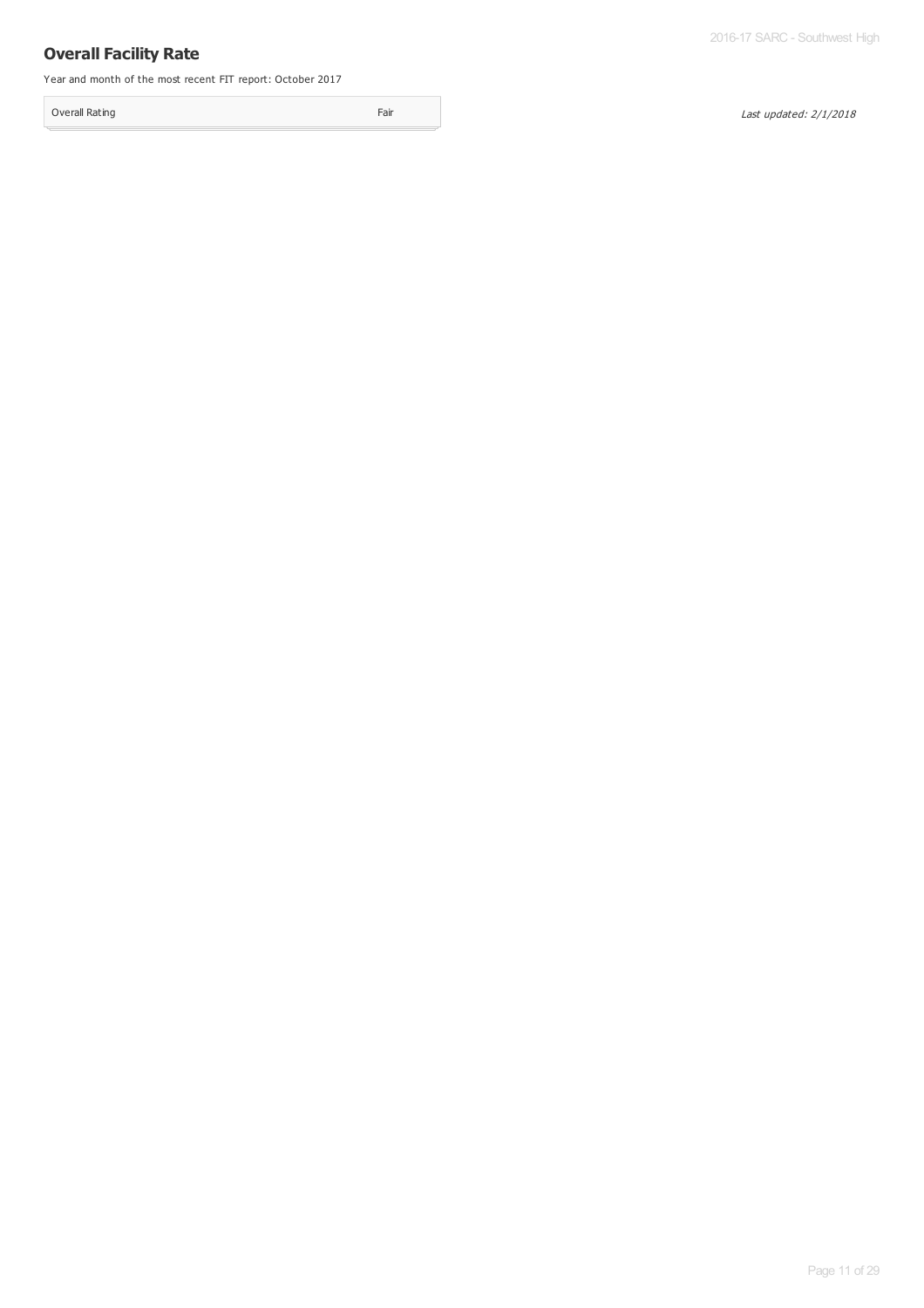## **Overall Facility Rate**

Year and month of the most recent FIT report: October 2017

Overall Rating Fair Contract Contract Contract Contract Contract Contract Contract Contract Contract Contract Contract Contract Contract Contract Contract Contract Contract Contract Contract Contract Contract Contract Cont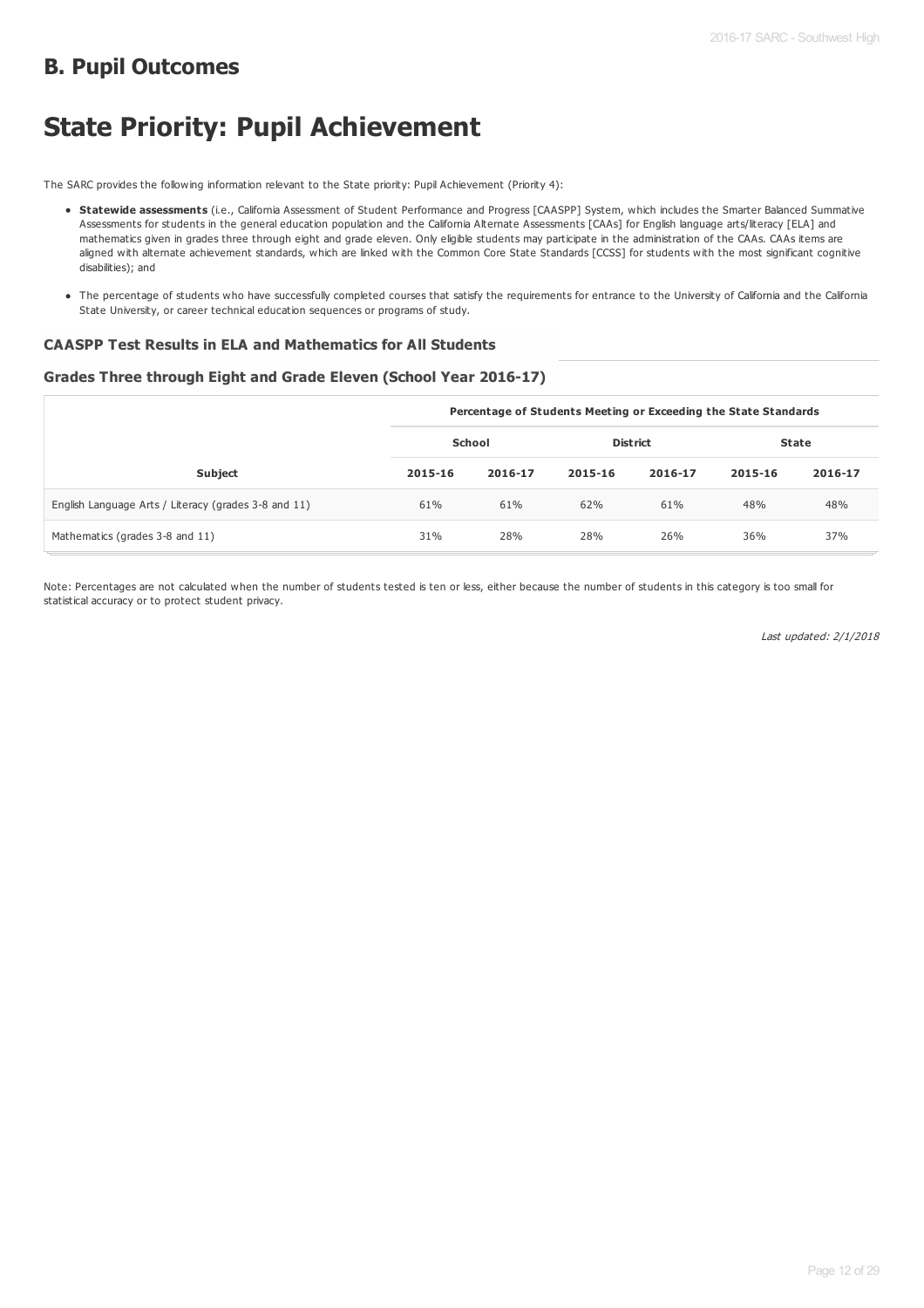## **B. Pupil Outcomes**

# **State Priority: Pupil Achievement**

The SARC provides the following information relevant to the State priority: Pupil Achievement (Priority 4):

- **Statewide assessments** (i.e., California Assessment of Student Performance and Progress [CAASPP] System, which includes the Smarter Balanced Summative Assessments for students in the general education population and the California Alternate Assessments [CAAs] for English language arts/literacy [ELA] and mathematics given in grades three through eight and grade eleven. Only eligible students may participate in the administration of the CAAs. CAAs items are aligned with alternate achievement standards, which are linked with the Common Core State Standards [CCSS] for students with the most significant cognitive disabilities); and
- The percentage of students who have successfully completed courses that satisfy the requirements for entrance to the University of California and the California State University, or career technical education sequences or programs of study.

## **CAASPP Test Results in ELA and Mathematics for All Students**

### **Grades Three through Eight and Grade Eleven (School Year 2016-17)**

|                                                      | Percentage of Students Meeting or Exceeding the State Standards |         |                 |         |              |         |
|------------------------------------------------------|-----------------------------------------------------------------|---------|-----------------|---------|--------------|---------|
|                                                      | School                                                          |         | <b>District</b> |         | <b>State</b> |         |
| <b>Subject</b>                                       | 2015-16                                                         | 2016-17 | 2015-16         | 2016-17 | 2015-16      | 2016-17 |
| English Language Arts / Literacy (grades 3-8 and 11) | 61%                                                             | 61%     | 62%             | 61%     | 48%          | 48%     |
| Mathematics (grades 3-8 and 11)                      | 31%                                                             | 28%     | 28%             | 26%     | 36%          | 37%     |

Note: Percentages are not calculated when the number of students tested is ten or less, either because the number of students in this category is too small for statistical accuracy or to protect student privacy.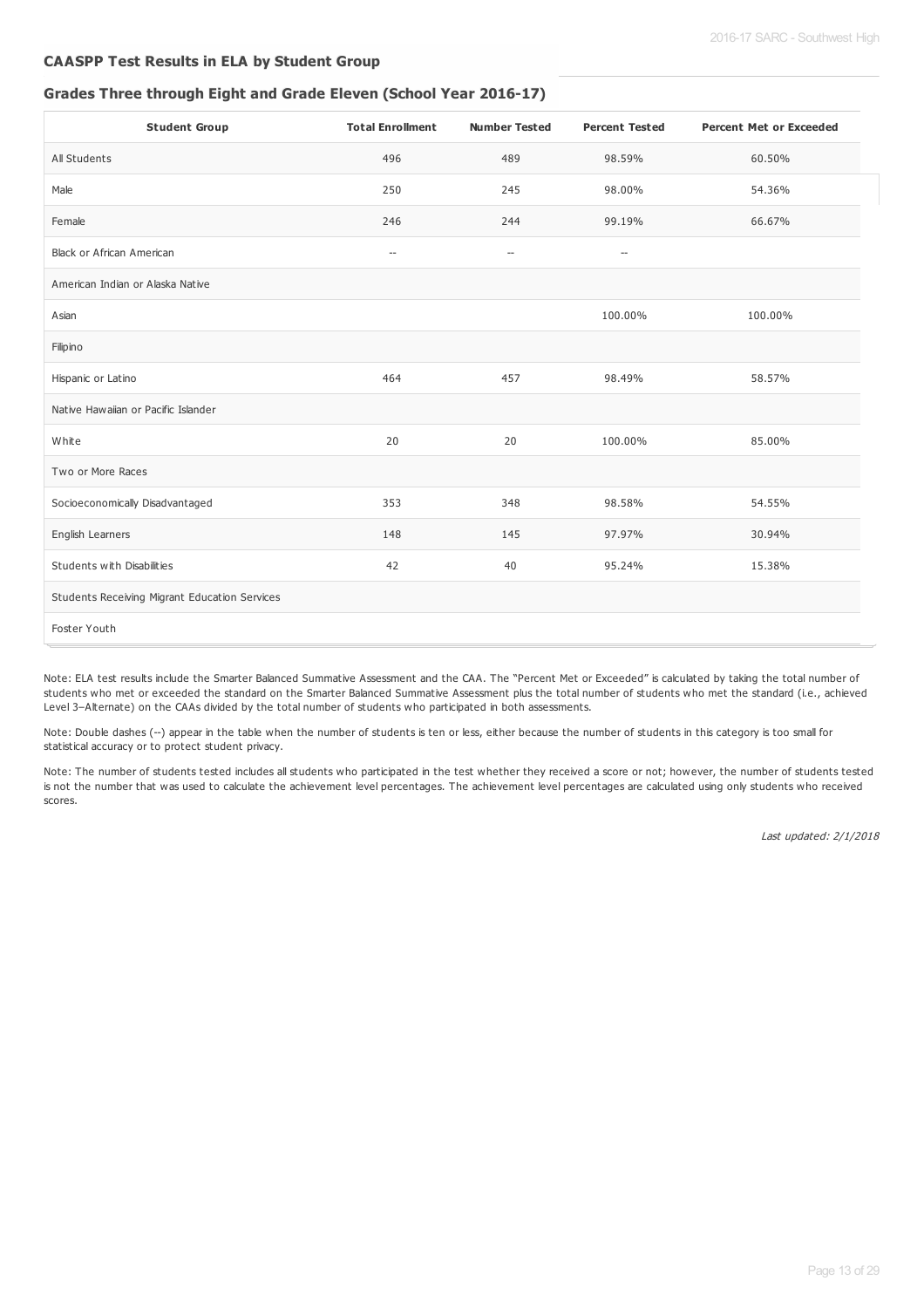## **CAASPP Test Results in ELA by Student Group**

## **Grades Three through Eight and Grade Eleven (School Year 2016-17)**

| <b>Student Group</b>                          | <b>Total Enrollment</b>            | <b>Number Tested</b>               | <b>Percent Tested</b> | <b>Percent Met or Exceeded</b> |
|-----------------------------------------------|------------------------------------|------------------------------------|-----------------------|--------------------------------|
| All Students                                  | 496                                | 489                                | 98.59%                | 60.50%                         |
| Male                                          | 250                                | 245                                | 98.00%                | 54.36%                         |
| Female                                        | 246                                | 244                                | 99.19%                | 66.67%                         |
| <b>Black or African American</b>              | $\hspace{0.05cm} -\hspace{0.05cm}$ | $\hspace{0.05cm} -\hspace{0.05cm}$ | $-\!$                 |                                |
| American Indian or Alaska Native              |                                    |                                    |                       |                                |
| Asian                                         |                                    |                                    | 100.00%               | 100.00%                        |
| Filipino                                      |                                    |                                    |                       |                                |
| Hispanic or Latino                            | 464                                | 457                                | 98.49%                | 58.57%                         |
| Native Hawaiian or Pacific Islander           |                                    |                                    |                       |                                |
| White                                         | 20                                 | 20                                 | 100.00%               | 85.00%                         |
| Two or More Races                             |                                    |                                    |                       |                                |
| Socioeconomically Disadvantaged               | 353                                | 348                                | 98.58%                | 54.55%                         |
| English Learners                              | 148                                | 145                                | 97.97%                | 30.94%                         |
| Students with Disabilities                    | 42                                 | 40                                 | 95.24%                | 15.38%                         |
| Students Receiving Migrant Education Services |                                    |                                    |                       |                                |
| Foster Youth                                  |                                    |                                    |                       |                                |

Note: ELA test results include the Smarter Balanced Summative Assessment and the CAA. The "Percent Met or Exceeded" is calculated by taking the total number of students who met or exceeded the standard on the Smarter Balanced Summative Assessment plus the total number of students who met the standard (i.e., achieved Level 3–Alternate) on the CAAs divided by the total number of students who participated in both assessments.

Note: Double dashes (--) appear in the table when the number of students is ten or less, either because the number of students in this category is too small for statistical accuracy or to protect student privacy.

Note: The number of students tested includes all students who participated in the test whether they received a score or not; however, the number of students tested is not the number that was used to calculate the achievement level percentages. The achievement level percentages are calculated using only students who received scores.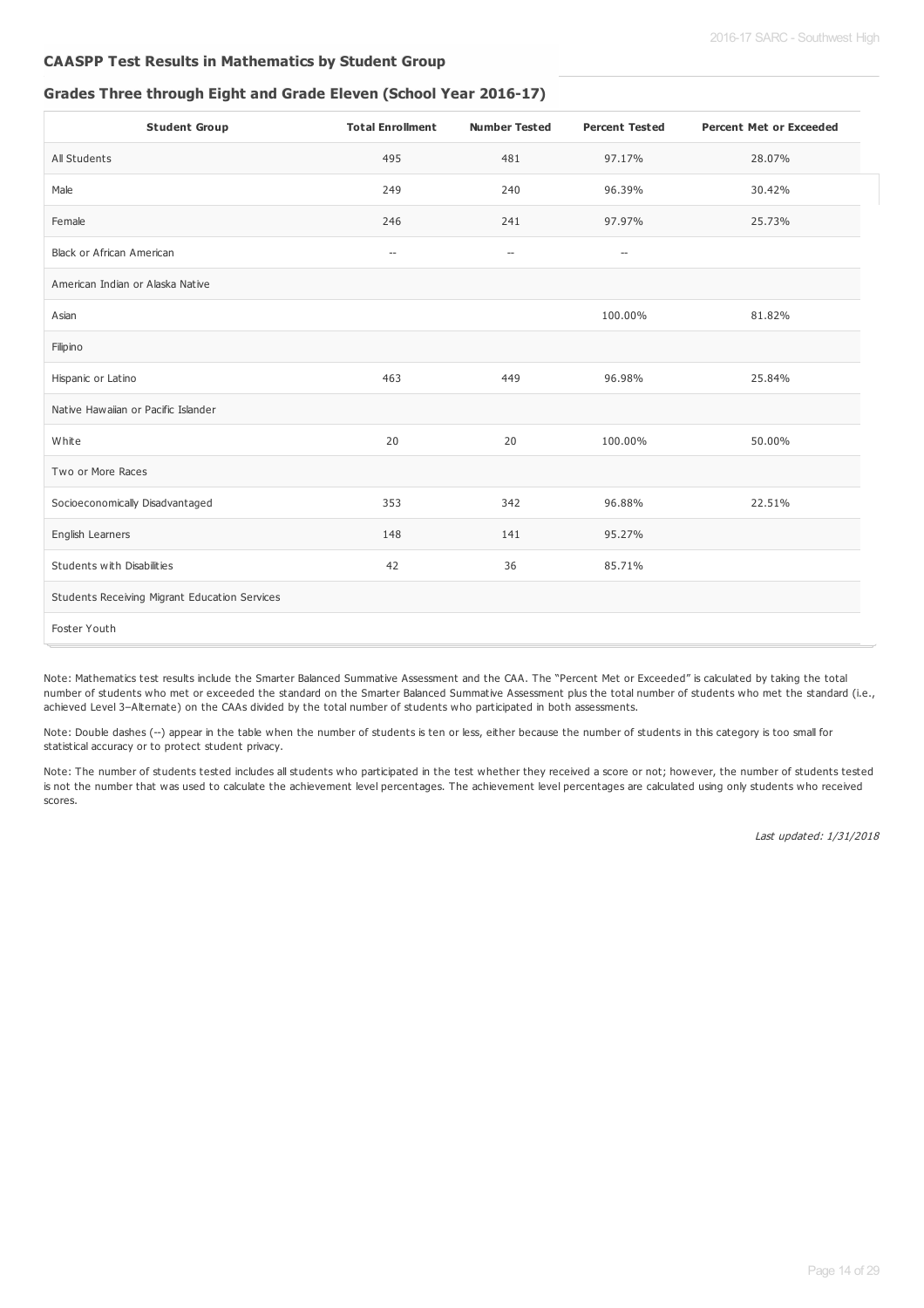## **CAASPP Test Results in Mathematics by Student Group**

## **Grades Three through Eight and Grade Eleven (School Year 2016-17)**

| <b>Student Group</b>                          | <b>Total Enrollment</b>            | <b>Number Tested</b>     | <b>Percent Tested</b>    | <b>Percent Met or Exceeded</b> |
|-----------------------------------------------|------------------------------------|--------------------------|--------------------------|--------------------------------|
| All Students                                  | 495                                | 481                      | 97.17%                   | 28.07%                         |
| Male                                          | 249                                | 240                      | 96.39%                   | 30.42%                         |
| Female                                        | 246                                | 241                      | 97.97%                   | 25.73%                         |
| <b>Black or African American</b>              | $\hspace{0.05cm} -\hspace{0.05cm}$ | $\hspace{0.05cm} \ldots$ | $\overline{\phantom{a}}$ |                                |
| American Indian or Alaska Native              |                                    |                          |                          |                                |
| Asian                                         |                                    |                          | 100.00%                  | 81.82%                         |
| Filipino                                      |                                    |                          |                          |                                |
| Hispanic or Latino                            | 463                                | 449                      | 96.98%                   | 25.84%                         |
| Native Hawaiian or Pacific Islander           |                                    |                          |                          |                                |
| White                                         | 20                                 | 20                       | 100.00%                  | 50.00%                         |
| Two or More Races                             |                                    |                          |                          |                                |
| Socioeconomically Disadvantaged               | 353                                | 342                      | 96.88%                   | 22.51%                         |
| English Learners                              | 148                                | 141                      | 95.27%                   |                                |
| Students with Disabilities                    | 42                                 | 36                       | 85.71%                   |                                |
| Students Receiving Migrant Education Services |                                    |                          |                          |                                |
| Foster Youth                                  |                                    |                          |                          |                                |

Note: Mathematics test results include the Smarter Balanced Summative Assessment and the CAA. The "Percent Met or Exceeded" is calculated by taking the total number of students who met or exceeded the standard on the Smarter Balanced Summative Assessment plus the total number of students who met the standard (i.e., achieved Level 3–Alternate) on the CAAs divided by the total number of students who participated in both assessments.

Note: Double dashes (--) appear in the table when the number of students is ten or less, either because the number of students in this category is too small for statistical accuracy or to protect student privacy.

Note: The number of students tested includes all students who participated in the test whether they received a score or not; however, the number of students tested is not the number that was used to calculate the achievement level percentages. The achievement level percentages are calculated using only students who received scores.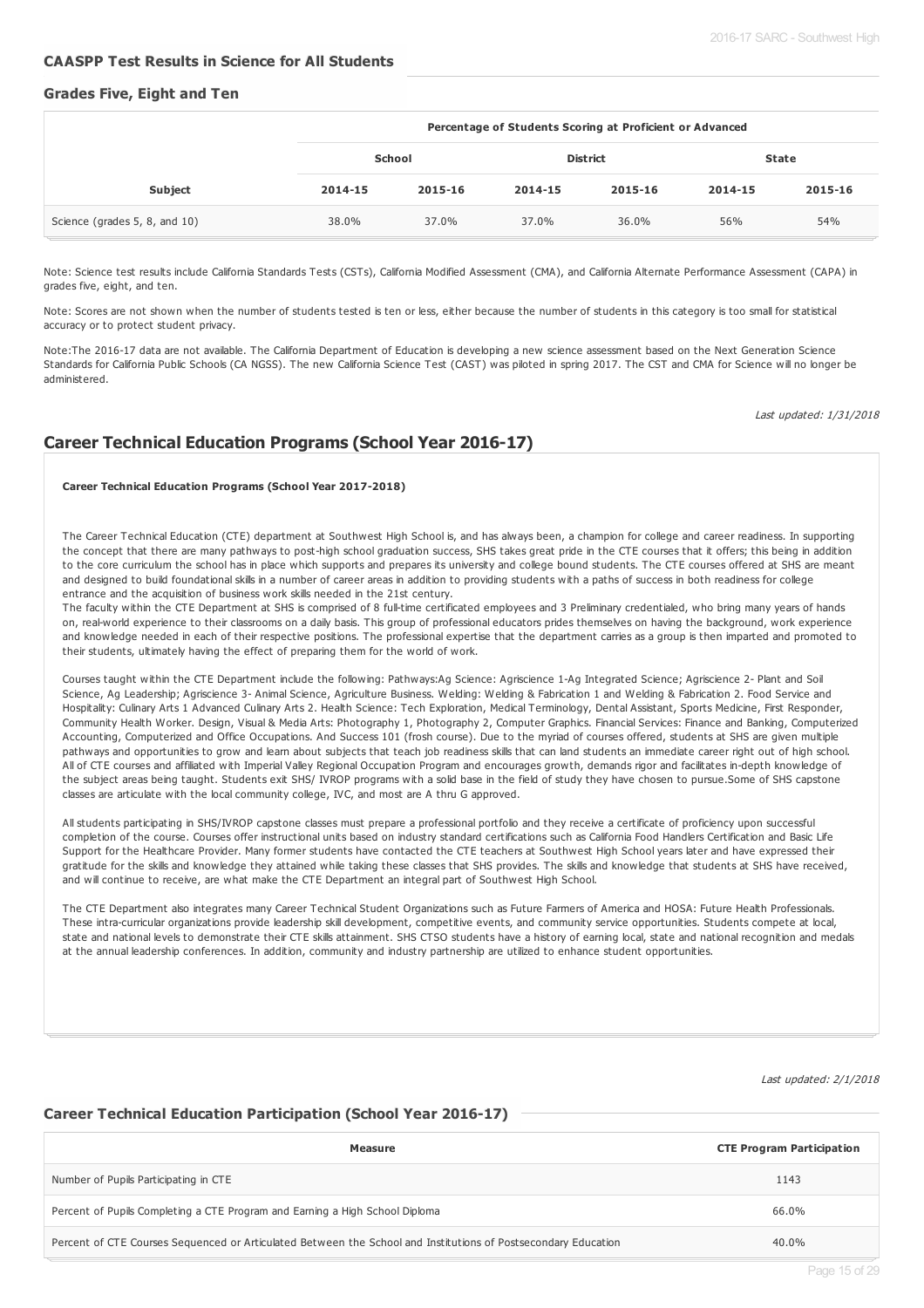#### **CAASPP Test Results in Science for All Students**

#### **Grades Five, Eight and Ten**

|                               | Percentage of Students Scoring at Proficient or Advanced |         |         |                 |              |         |  |  |
|-------------------------------|----------------------------------------------------------|---------|---------|-----------------|--------------|---------|--|--|
|                               | School                                                   |         |         | <b>District</b> | <b>State</b> |         |  |  |
| <b>Subject</b>                | 2014-15                                                  | 2015-16 | 2014-15 | 2015-16         | 2014-15      | 2015-16 |  |  |
| Science (grades 5, 8, and 10) | 38.0%                                                    | 37.0%   | 37.0%   | 36.0%           | 56%          | 54%     |  |  |

Note: Science test results include California Standards Tests (CSTs), California Modified Assessment (CMA), and California Alternate Performance Assessment (CAPA) in grades five, eight, and ten.

Note: Scores are not shown when the number of students tested is ten or less, either because the number of students in this category is too small for statistical accuracy or to protect student privacy.

Note:The 2016-17 data are not available. The California Department of Education is developing a new science assessment based on the Next Generation Science Standards for California Public Schools (CA NGSS). The new California Science Test (CAST) was piloted in spring 2017. The CST and CMA for Science will no longer be administered.

Last updated: 1/31/2018

## **Career Technical Education Programs (School Year 2016-17)**

#### **Career Technical Education Programs (School Year 2017-2018)**

The Career Technical Education (CTE) department at Southwest High School is, and has always been, a champion for college and career readiness. In supporting the concept that there are many pathways to post-high school graduation success, SHS takes great pride in the CTE courses that it offers; this being in addition to the core curriculum the school has in place which supports and prepares its university and college bound students. The CTE courses offered at SHS are meant and designed to build foundational skills in a number of career areas in addition to providing students with a paths of success in both readiness for college entrance and the acquisition of business work skills needed in the 21st century.

The faculty within the CTE Department at SHS is comprised of 8 full-time certificated employees and 3 Preliminary credentialed, who bring many years of hands on, real-world experience to their classrooms on a daily basis. This group of professional educators prides themselves on having the background, work experience and knowledge needed in each of their respective positions. The professional expertise that the department carries as a group is then imparted and promoted to their students, ultimately having the effect of preparing them for the world of work.

Courses taught within the CTE Department include the following: Pathways:Ag Science: Agriscience 1-Ag Integrated Science; Agriscience 2- Plant and Soil Science, Ag Leadership; Agriscience 3- Animal Science, Agriculture Business. Welding: Welding & Fabrication 1 and Welding & Fabrication 2. Food Service and Hospitality: Culinary Arts 1 Advanced Culinary Arts 2. Health Science: Tech Exploration, Medical Terminology, Dental Assistant, Sports Medicine, First Responder, Community Health Worker. Design, Visual & Media Arts: Photography 1, Photography 2, Computer Graphics. Financial Services: Finance and Banking, Computerized Accounting, Computerized and Office Occupations. And Success 101 (frosh course). Due to the myriad of courses offered, students at SHS are given multiple pathways and opportunities to grow and learn about subjects that teach job readiness skills that can land students an immediate career right out of high school. All of CTE courses and affiliated with Imperial Valley Regional Occupation Program and encourages growth, demands rigor and facilitates in-depth knowledge of the subject areas being taught. Students exit SHS/ IVROP programs with a solid base in the field of study they have chosen to pursue.Some of SHS capstone classes are articulate with the local community college, IVC, and most are A thru G approved.

All students participating in SHS/IVROP capstone classes must prepare a professional portfolio and they receive a certificate of proficiency upon successful completion of the course. Courses offer instructional units based on industry standard certifications such as California Food Handlers Certification and Basic Life Support for the Healthcare Provider. Many former students have contacted the CTE teachers at Southwest High School years later and have expressed their gratitude for the skills and knowledge they attained while taking these classes that SHS provides. The skills and knowledge that students at SHS have received, and will continue to receive, are what make the CTE Department an integral part of Southwest High School.

The CTE Department also integrates many Career Technical Student Organizations such as Future Farmers of America and HOSA: Future Health Professionals. These intra-curricular organizations provide leadership skill development, competitive events, and community service opportunities. Students compete at local, state and national levels to demonstrate their CTE skills attainment. SHS CTSO students have a history of earning local, state and national recognition and medals at the annual leadership conferences. In addition, community and industry partnership are utilized to enhance student opportunities.

Last updated: 2/1/2018

### **Career Technical Education Participation (School Year 2016-17)**

| Measure                                                                                                        | <b>CTE Program Participation</b> |
|----------------------------------------------------------------------------------------------------------------|----------------------------------|
| Number of Pupils Participating in CTE                                                                          | 1143                             |
| Percent of Pupils Completing a CTE Program and Earning a High School Diploma                                   | 66.0%                            |
| Percent of CTE Courses Sequenced or Articulated Between the School and Institutions of Postsecondary Education | 40.0%                            |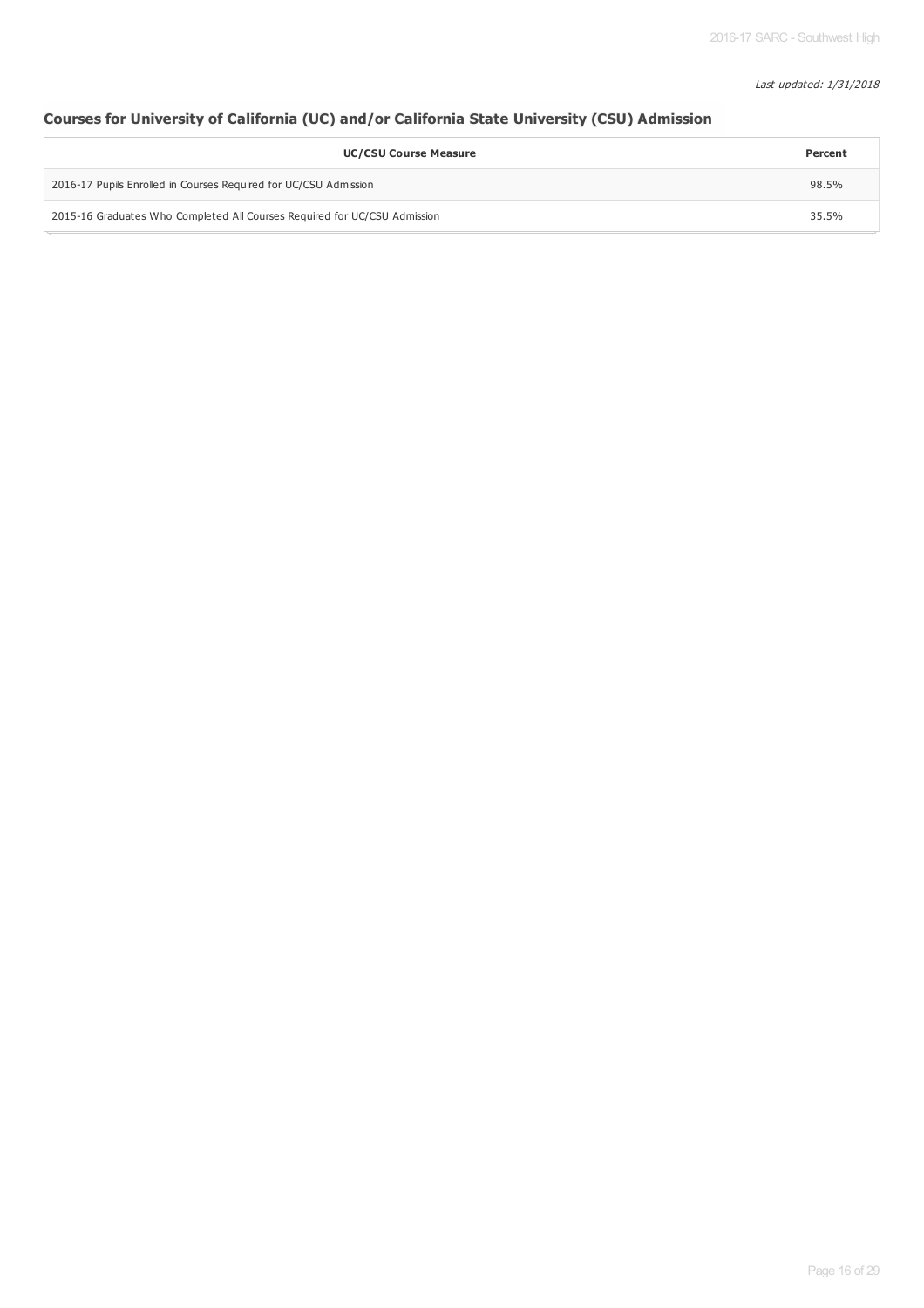### Last updated: 1/31/2018

## **Courses for University of California (UC) and/or California State University (CSU) Admission**

| <b>UC/CSU Course Measure</b>                                              |       |  |  |  |
|---------------------------------------------------------------------------|-------|--|--|--|
| 2016-17 Pupils Enrolled in Courses Required for UC/CSU Admission          |       |  |  |  |
| 2015-16 Graduates Who Completed All Courses Required for UC/CSU Admission | 35.5% |  |  |  |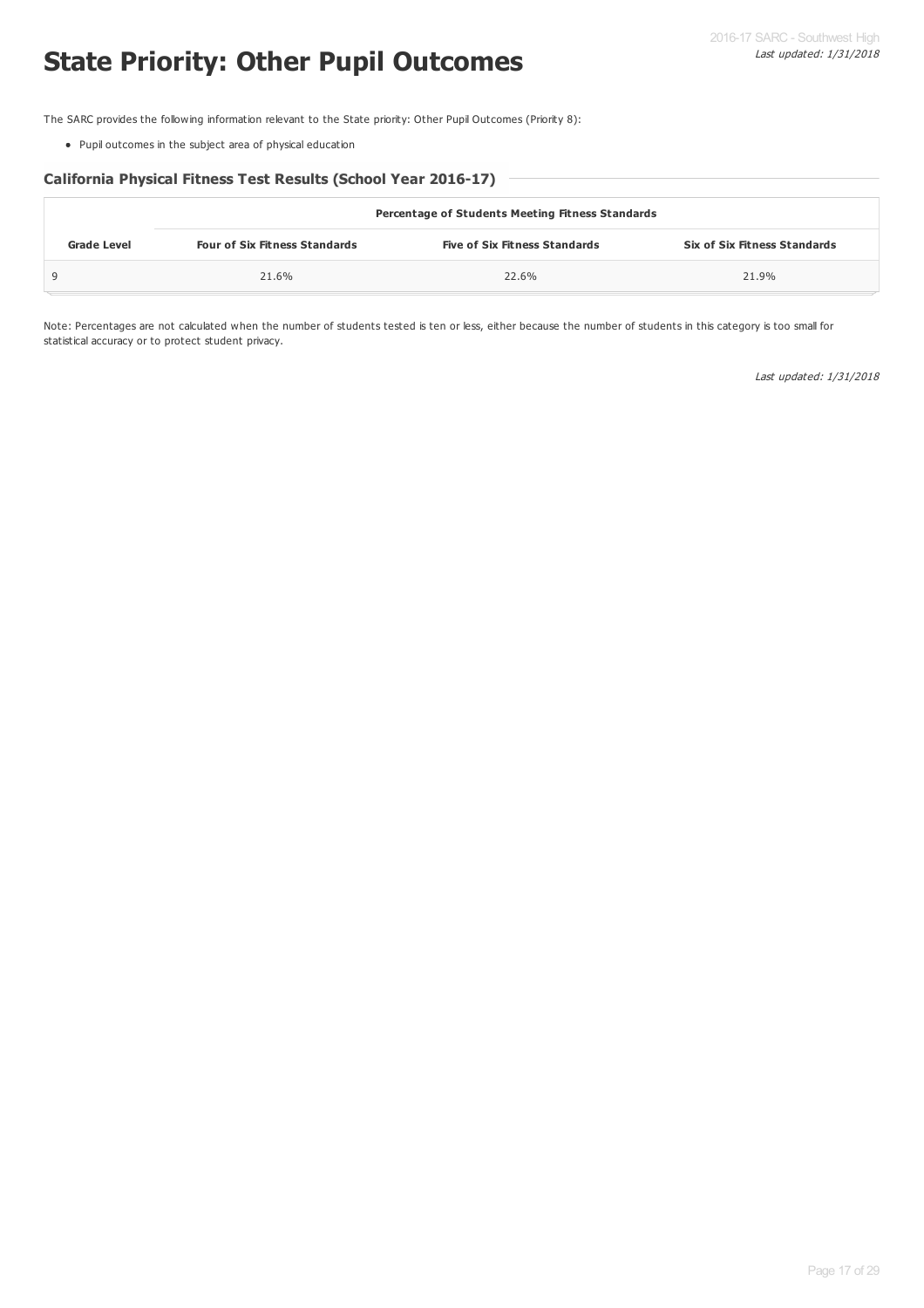# **State Priority: Other Pupil Outcomes**

The SARC provides the following information relevant to the State priority: Other Pupil Outcomes (Priority 8):

Pupil outcomes in the subject area of physical education

## **California Physical Fitness Test Results (School Year 2016-17)**

| <b>Percentage of Students Meeting Fitness Standards</b> |                                      |                                      |                                     |  |  |  |  |  |
|---------------------------------------------------------|--------------------------------------|--------------------------------------|-------------------------------------|--|--|--|--|--|
| <b>Grade Level</b>                                      | <b>Four of Six Fitness Standards</b> | <b>Five of Six Fitness Standards</b> | <b>Six of Six Fitness Standards</b> |  |  |  |  |  |
|                                                         | 21.6%                                | 22.6%                                | 21.9%                               |  |  |  |  |  |

Note: Percentages are not calculated when the number of students tested is ten or less, either because the number of students in this category is too small for statistical accuracy or to protect student privacy.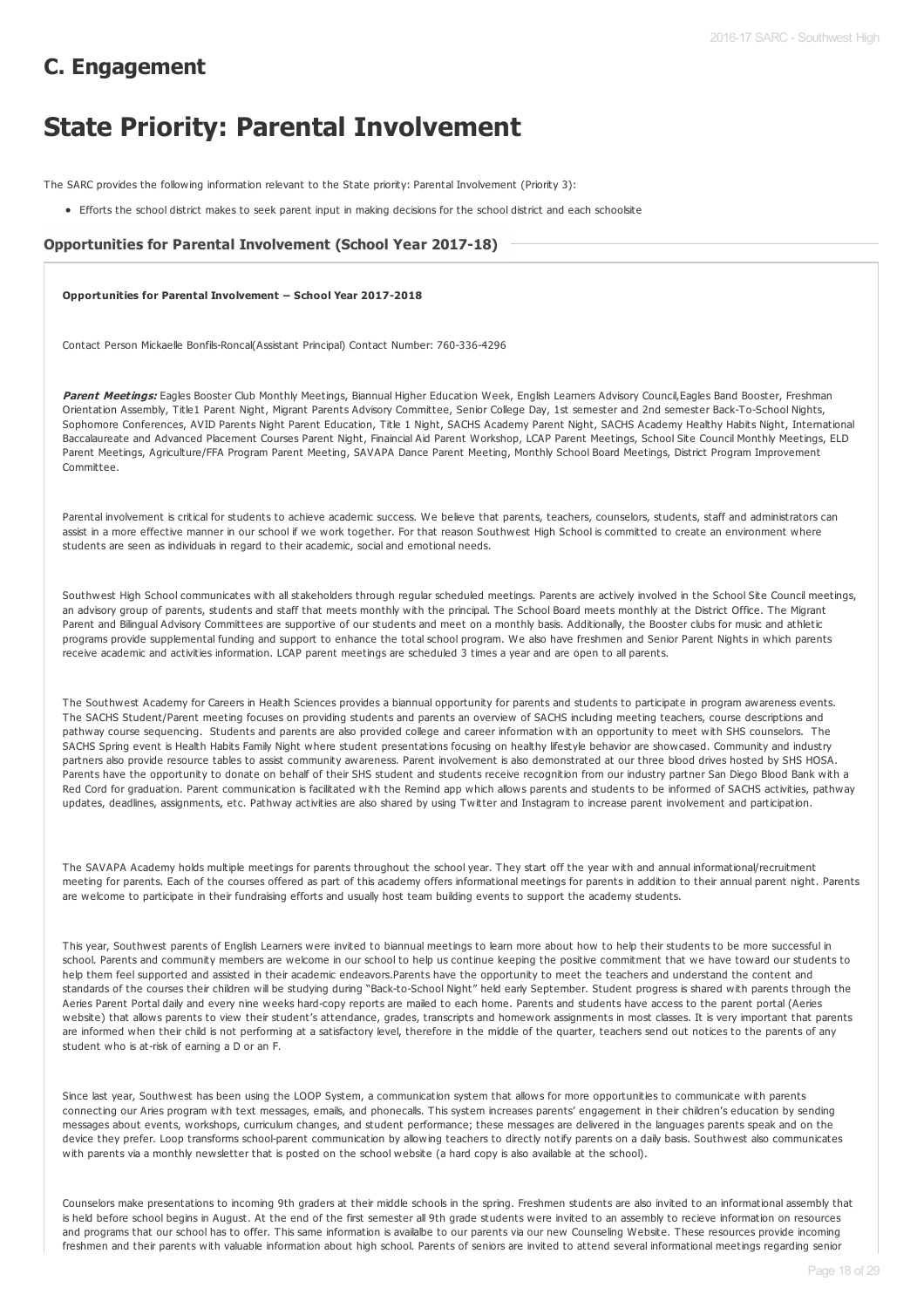## **C. Engagement**

# **State Priority: Parental Involvement**

The SARC provides the following information relevant to the State priority: Parental Involvement (Priority 3):

Efforts the school district makes to seek parent input in making decisions for the school district and each schoolsite

## **Opportunities for Parental Involvement (School Year 2017-18)**

**Opportunities for Parental Involvement – School Year 2017-2018**

Contact Person Mickaelle Bonfils-Roncal(Assistant Principal) Contact Number: 760-336-4296

Parent Meetings: Eagles Booster Club Monthly Meetings, Biannual Higher Education Week, English Learners Advisory Council, Eagles Band Booster, Freshman Orientation Assembly, Title1 Parent Night, Migrant Parents Advisory Committee, Senior College Day, 1st semester and 2nd semester Back-To-School Nights, Sophomore Conferences, AVID Parents Night Parent Education, Title 1 Night, SACHS Academy Parent Night, SACHS Academy Healthy Habits Night, International Baccalaureate and Advanced Placement Courses Parent Night, Finaincial Aid Parent Workshop, LCAP Parent Meetings, School Site Council Monthly Meetings, ELD Parent Meetings, Agriculture/FFA Program Parent Meeting, SAVAPA Dance Parent Meeting, Monthly School Board Meetings, District Program Improvement Committee.

Parental involvement is critical for students to achieve academic success. We believe that parents, teachers, counselors, students, staff and administrators can assist in a more effective manner in our school if we work together. For that reason Southwest High School is committed to create an environment where students are seen as individuals in regard to their academic, social and emotional needs.

Southwest High School communicates with all stakeholders through regular scheduled meetings. Parents are actively involved in the School Site Council meetings, an advisory group of parents, students and staff that meets monthly with the principal. The School Board meets monthly at the District Office. The Migrant Parent and Bilingual Advisory Committees are supportive of our students and meet on a monthly basis. Additionally, the Booster clubs for music and athletic programs provide supplemental funding and support to enhance the total school program. We also have freshmen and Senior Parent Nights in which parents receive academic and activities information. LCAP parent meetings are scheduled 3 times a year and are open to all parents.

The Southwest Academy for Careers in Health Sciences provides a biannual opportunity for parents and students to participate in program awareness events. The SACHS Student/Parent meeting focuses on providing students and parents an overview of SACHS including meeting teachers, course descriptions and pathway course sequencing. Students and parents are also provided college and career information with an opportunity to meet with SHS counselors. The SACHS Spring event is Health Habits Family Night where student presentations focusing on healthy lifestyle behavior are showcased. Community and industry partners also provide resource tables to assist community awareness. Parent involvement is also demonstrated at our three blood drives hosted by SHS HOSA. Parents have the opportunity to donate on behalf of their SHS student and students receive recognition from our industry partner San Diego Blood Bank with a Red Cord for graduation. Parent communication is facilitated with the Remind app which allows parents and students to be informed of SACHS activities, pathway updates, deadlines, assignments, etc. Pathway activities are also shared by using Twitter and Instagram to increase parent involvement and participation.

The SAVAPA Academy holds multiple meetings for parents throughout the school year. They start off the year with and annual informational/recruitment meeting for parents. Each of the courses offered as part of this academy offers informational meetings for parents in addition to their annual parent night. Parents are welcome to participate in their fundraising efforts and usually host team building events to support the academy students.

This year, Southwest parents of English Learners were invited to biannual meetings to learn more about how to help their students to be more successful in school. Parents and community members are welcome in our school to help us continue keeping the positive commitment that we have toward our students to help them feel supported and assisted in their academic endeavors.Parents have the opportunity to meet the teachers and understand the content and standards of the courses their children will be studying during "Back-to-School Night" held early September. Student progress is shared with parents through the Aeries Parent Portal daily and every nine weeks hard-copy reports are mailed to each home. Parents and students have access to the parent portal (Aeries website) that allows parents to view their student's attendance, grades, transcripts and homework assignments in most classes. It is very important that parents are informed when their child is not performing at a satisfactory level, therefore in the middle of the quarter, teachers send out notices to the parents of any student who is at-risk of earning a D or an F.

Since last year, Southwest has been using the LOOP System, a communication system that allows for more opportunities to communicate with parents connecting our Aries program with text messages, emails, and phonecalls. This system increases parents' engagement in their children's education by sending messages about events, workshops, curriculum changes, and student performance; these messages are delivered in the languages parents speak and on the device they prefer. Loop transforms school-parent communication by allowing teachers to directly notify parents on a daily basis. Southwest also communicates with parents via a monthly newsletter that is posted on the school website (a hard copy is also available at the school).

Counselors make presentations to incoming 9th graders at their middle schools in the spring. Freshmen students are also invited to an informational assembly that is held before school begins in August. At the end of the first semester all 9th grade students were invited to an assembly to recieve information on resources and programs that our school has to offer. This same information is availalbe to our parents via our new Counseling Website. These resources provide incoming freshmen and their parents with valuable information about high school. Parents of seniors are invited to attend several informational meetings regarding senior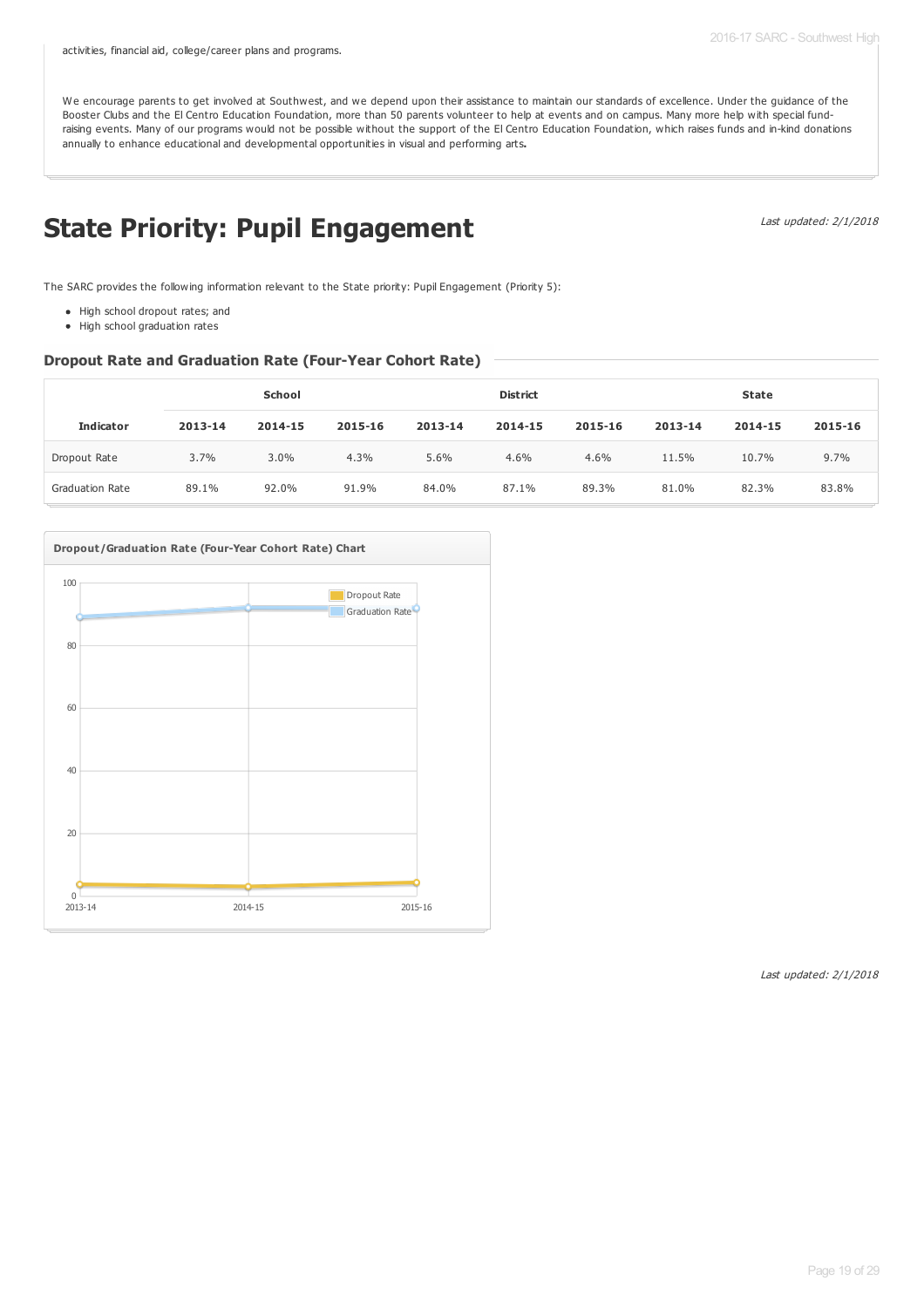We encourage parents to get involved at Southwest, and we depend upon their assistance to maintain our standards of excellence. Under the guidance of the Booster Clubs and the El Centro Education Foundation, more than 50 parents volunteer to help at events and on campus. Many more help with special fundraising events. Many of our programs would not be possible without the support of the El Centro Education Foundation, which raises funds and in-kind donations annually to enhance educational and developmental opportunities in visual and performing arts**.**

# **State Priority: Pupil Engagement**

Last updated: 2/1/2018

The SARC provides the following information relevant to the State priority: Pupil Engagement (Priority 5):

- High school dropout rates; and
- High school graduation rates

#### **Dropout Rate and Graduation Rate (Four-Year Cohort Rate)**

|                        | School  |         |         |         | <b>District</b> |         | State   |         |         |
|------------------------|---------|---------|---------|---------|-----------------|---------|---------|---------|---------|
| <b>Indicator</b>       | 2013-14 | 2014-15 | 2015-16 | 2013-14 | 2014-15         | 2015-16 | 2013-14 | 2014-15 | 2015-16 |
| Dropout Rate           | 3.7%    | $3.0\%$ | 4.3%    | 5.6%    | 4.6%            | 4.6%    | 11.5%   | 10.7%   | 9.7%    |
| <b>Graduation Rate</b> | 89.1%   | 92.0%   | 91.9%   | 84.0%   | 87.1%           | 89.3%   | 81.0%   | 82.3%   | 83.8%   |

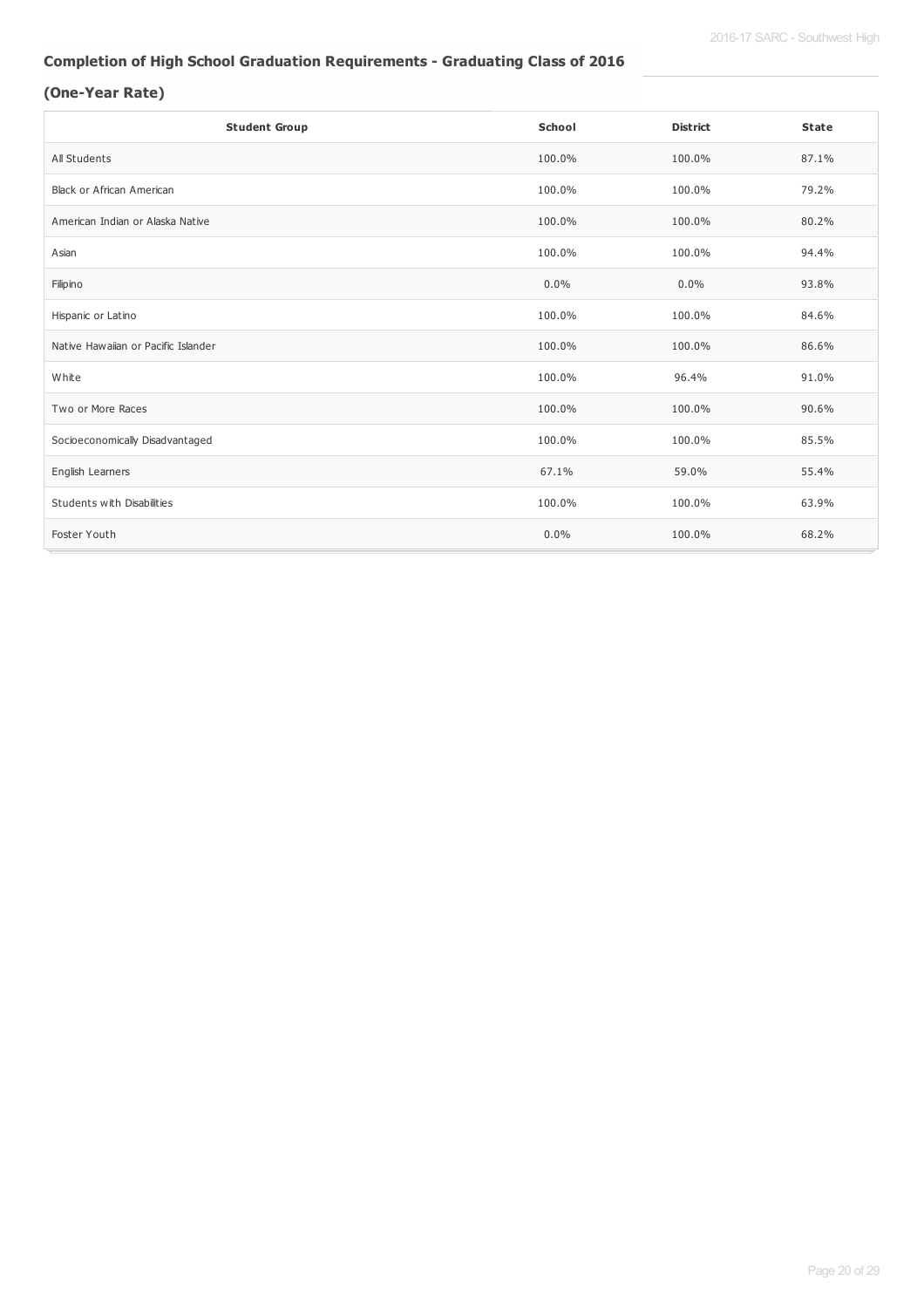## **Completion of High School Graduation Requirements - Graduating Class of 2016**

## **(One-Year Rate)**

| <b>Student Group</b>                | School  | <b>District</b> | <b>State</b> |
|-------------------------------------|---------|-----------------|--------------|
| All Students                        | 100.0%  | 100.0%          | 87.1%        |
| <b>Black or African American</b>    | 100.0%  | 100.0%          | 79.2%        |
| American Indian or Alaska Native    | 100.0%  | 100.0%          | 80.2%        |
| Asian                               | 100.0%  | 100.0%          | 94.4%        |
| Filipino                            | 0.0%    | 0.0%            | 93.8%        |
| Hispanic or Latino                  | 100.0%  | 100.0%          | 84.6%        |
| Native Hawaiian or Pacific Islander | 100.0%  | 100.0%          | 86.6%        |
| White                               | 100.0%  | 96.4%           | 91.0%        |
| Two or More Races                   | 100.0%  | 100.0%          | 90.6%        |
| Socioeconomically Disadvantaged     | 100.0%  | 100.0%          | 85.5%        |
| English Learners                    | 67.1%   | 59.0%           | 55.4%        |
| Students with Disabilities          | 100.0%  | 100.0%          | 63.9%        |
| Foster Youth                        | $0.0\%$ | 100.0%          | 68.2%        |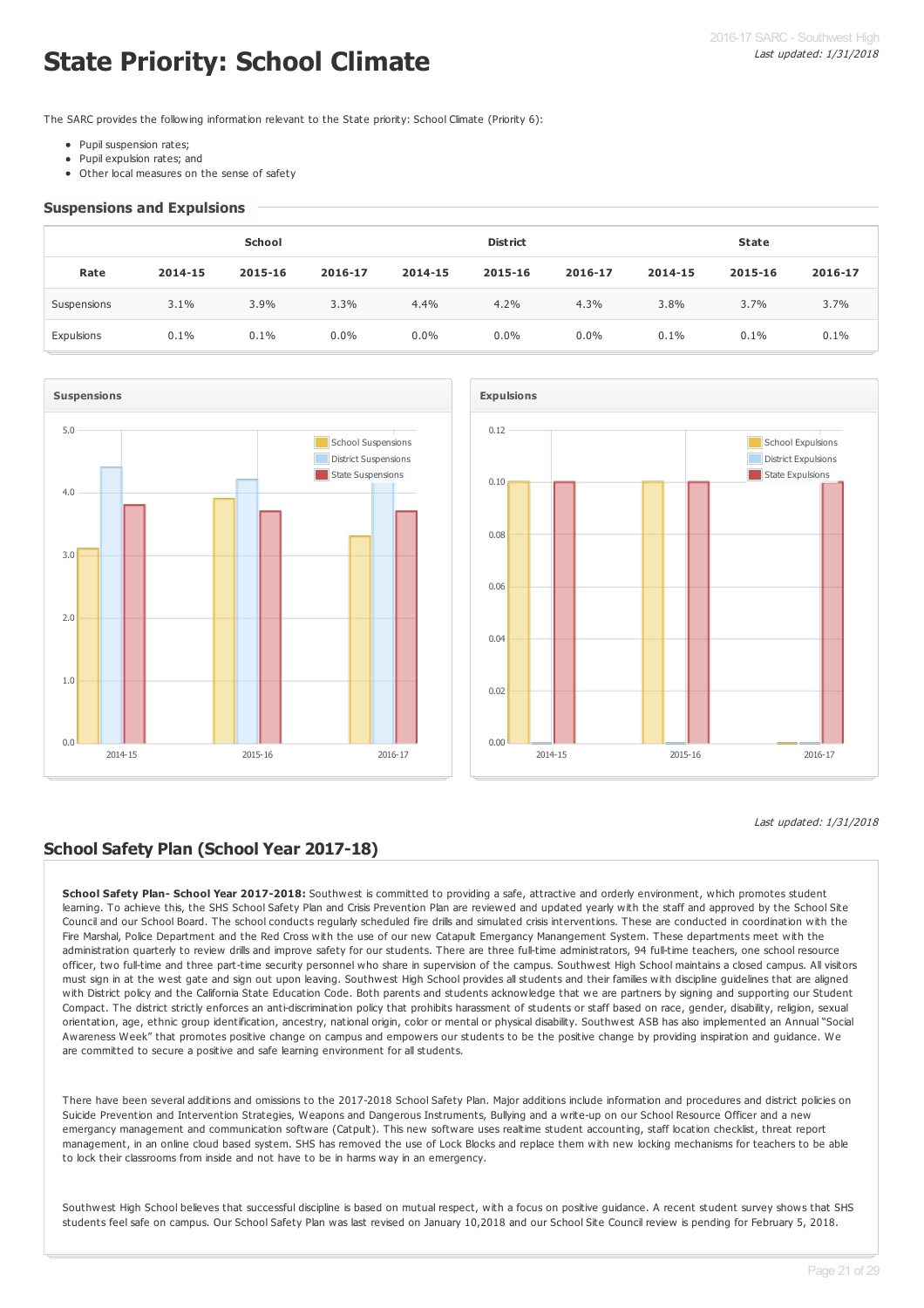# **State Priority: School Climate**

The SARC provides the following information relevant to the State priority: School Climate (Priority 6):

- Pupil suspension rates;
- Pupil expulsion rates; and
- Other local measures on the sense of safety

#### **Suspensions and Expulsions**

|             | School  |         |         |         | <b>District</b> |         |         | <b>State</b> |         |  |
|-------------|---------|---------|---------|---------|-----------------|---------|---------|--------------|---------|--|
| Rate        | 2014-15 | 2015-16 | 2016-17 | 2014-15 | 2015-16         | 2016-17 | 2014-15 | 2015-16      | 2016-17 |  |
| Suspensions | 3.1%    | 3.9%    | $3.3\%$ | 4.4%    | 4.2%            | 4.3%    | 3.8%    | 3.7%         | 3.7%    |  |
| Expulsions  | 0.1%    | 0.1%    | $0.0\%$ | $0.0\%$ | $0.0\%$         | $0.0\%$ | 0.1%    | 0.1%         | 0.1%    |  |





## **School Safety Plan (School Year 2017-18)**

**School Safety Plan- School Year 2017-2018:** Southwest is committed to providing a safe, attractive and orderly environment, which promotes student learning. To achieve this, the SHS School Safety Plan and Crisis Prevention Plan are reviewed and updated yearly with the staff and approved by the School Site Council and our School Board. The school conducts regularly scheduled fire drills and simulated crisis interventions. These are conducted in coordination with the Fire Marshal, Police Department and the Red Cross with the use of our new Catapult Emergancy Manangement System. These departments meet with the administration quarterly to review drills and improve safety for our students. There are three full-time administrators, 94 full-time teachers, one school resource officer, two full-time and three part-time security personnel who share in supervision of the campus. Southwest High School maintains a closed campus. All visitors must sign in at the west gate and sign out upon leaving. Southwest High School provides all students and their families with discipline guidelines that are aligned with District policy and the California State Education Code. Both parents and students acknowledge that we are partners by signing and supporting our Student Compact. The district strictly enforces an anti-discrimination policy that prohibits harassment of students or staff based on race, gender, disability, religion, sexual orientation, age, ethnic group identification, ancestry, national origin, color or mental or physical disability. Southwest ASB has also implemented an Annual "Social Awareness Week" that promotes positive change on campus and empowers our students to be the positive change by providing inspiration and guidance. We are committed to secure a positive and safe learning environment for all students.

There have been several additions and omissions to the 2017-2018 School Safety Plan. Major additions include information and procedures and district policies on Suicide Prevention and Intervention Strategies, Weapons and Dangerous Instruments, Bullying and a write-up on our School Resource Officer and a new emergancy management and communication software (Catpult). This new software uses realtime student accounting, staff location checklist, threat report management, in an online cloud based system. SHS has removed the use of Lock Blocks and replace them with new locking mechanisms for teachers to be able to lock their classrooms from inside and not have to be in harms way in an emergency.

Southwest High School believes that successful discipline is based on mutual respect, with a focus on positive guidance. A recent student survey shows that SHS students feel safe on campus. Our School Safety Plan was last revised on January 10,2018 and our School Site Council review is pending for February 5, 2018.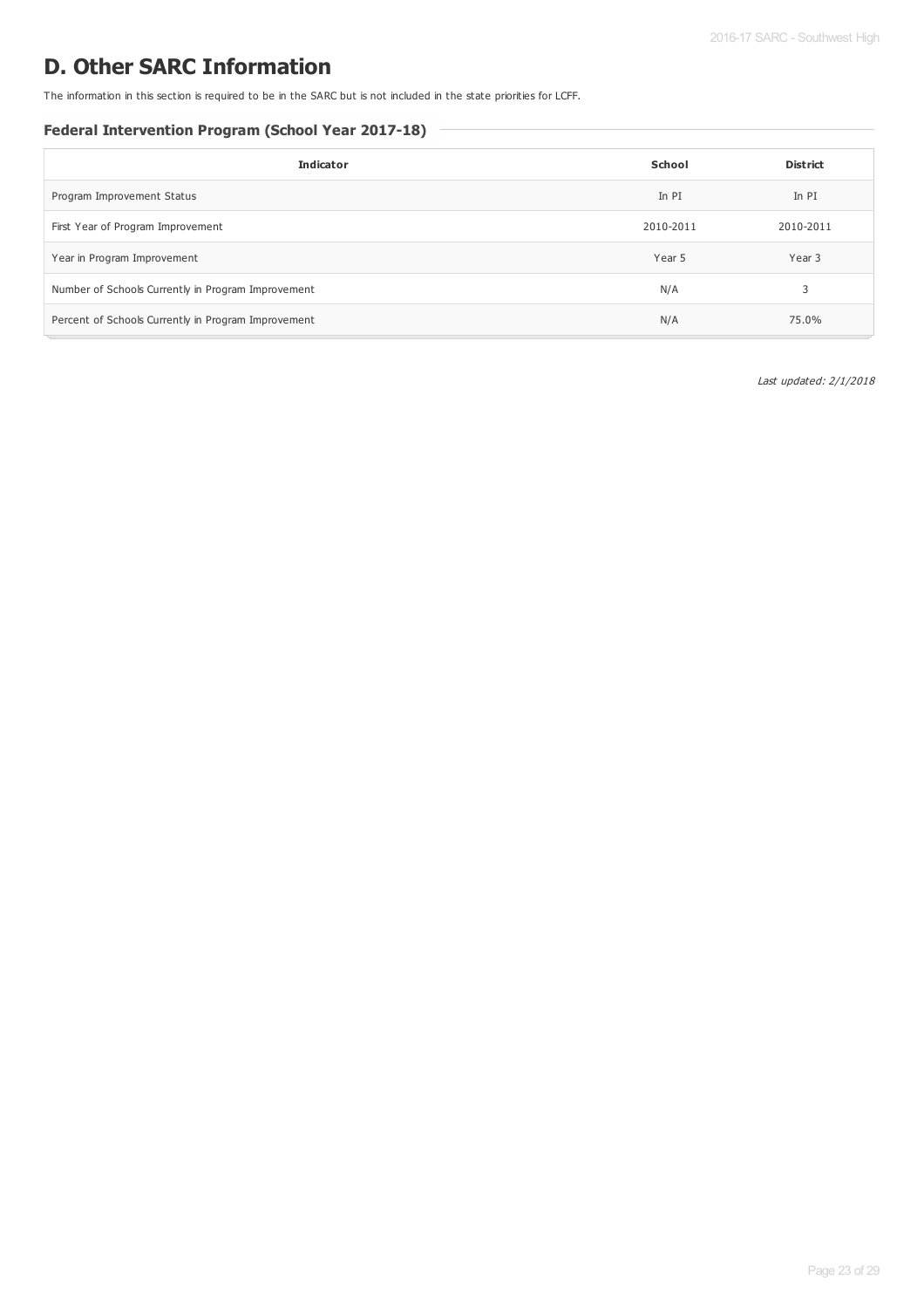## **D. Other SARC Information**

The information in this section is required to be in the SARC but is not included in the state priorities for LCFF.

## **Federal Intervention Program (School Year 2017-18)**

| <b>Indicator</b>                                    | School    | <b>District</b> |
|-----------------------------------------------------|-----------|-----------------|
| Program Improvement Status                          | In PI     | In PI           |
| First Year of Program Improvement                   | 2010-2011 | 2010-2011       |
| Year in Program Improvement                         | Year 5    | Year 3          |
| Number of Schools Currently in Program Improvement  | N/A       | 3               |
| Percent of Schools Currently in Program Improvement | N/A       | 75.0%           |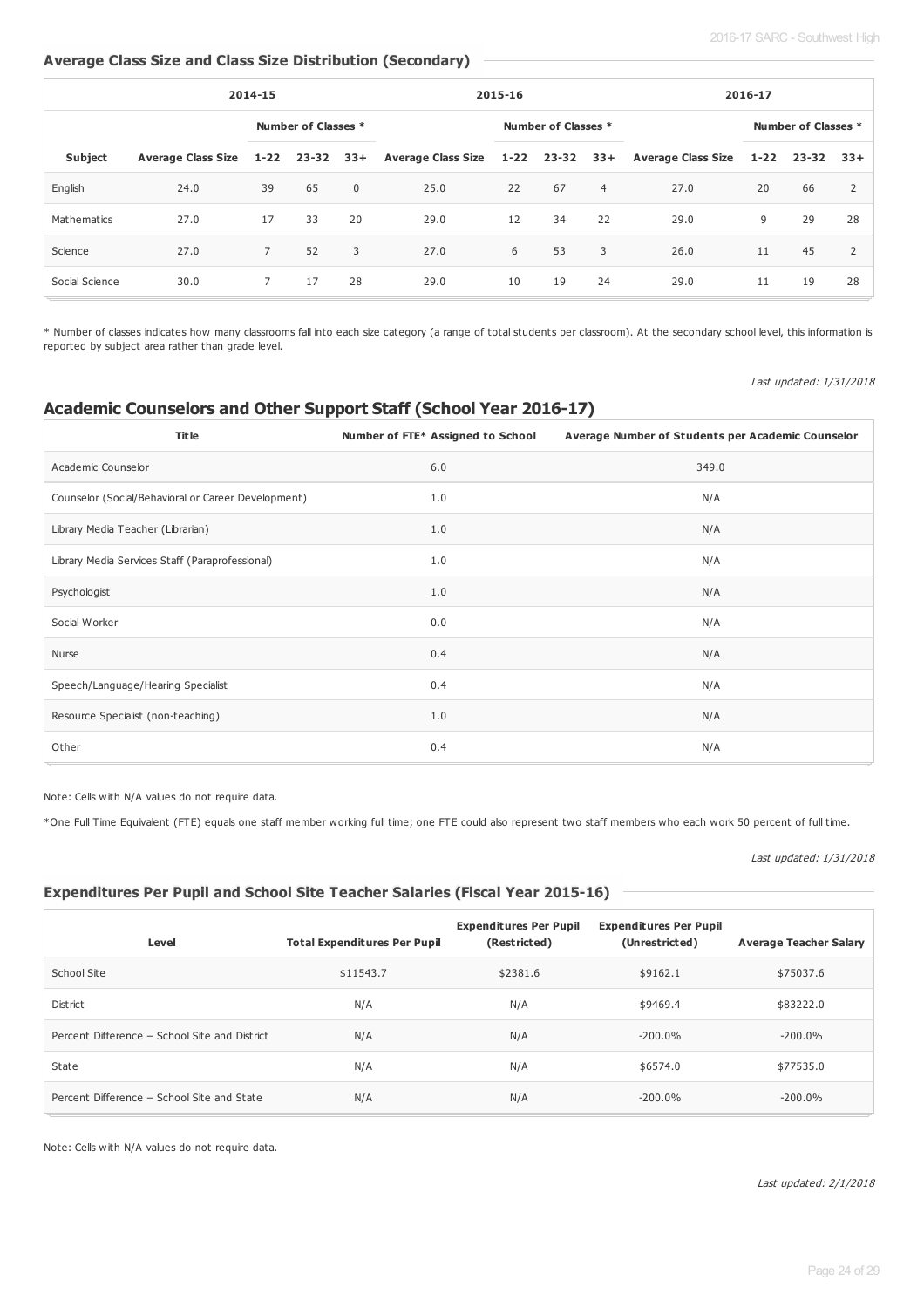## **Average Class Size and Class Size Distribution (Secondary)**

| 2014-15        |                         |                |                     | 2015-16     |                                                      |                     | 2016-17 |                |      |          |                  |                     |  |
|----------------|-------------------------|----------------|---------------------|-------------|------------------------------------------------------|---------------------|---------|----------------|------|----------|------------------|---------------------|--|
|                |                         |                | Number of Classes * |             |                                                      | Number of Classes * |         |                |      |          |                  | Number of Classes * |  |
| <b>Subject</b> | Average Class Size 1-22 |                | $23 - 32$ $33 +$    |             | Average Class Size 1-22 23-32 33+ Average Class Size |                     |         |                |      | $1 - 22$ | $23 - 32$ $33 +$ |                     |  |
| English        | 24.0                    | 39             | 65                  | $\mathbf 0$ | 25.0                                                 | 22                  | 67      | $\overline{4}$ | 27.0 | 20       | 66               | 2                   |  |
| Mathematics    | 27.0                    | 17             | 33                  | 20          | 29.0                                                 | 12                  | 34      | 22             | 29.0 | 9        | 29               | 28                  |  |
| Science        | 27.0                    | $\overline{7}$ | 52                  | 3           | 27.0                                                 | 6                   | 53      | 3              | 26.0 | 11       | 45               | $\overline{2}$      |  |
| Social Science | 30.0                    | $7^{\circ}$    | 17                  | 28          | 29.0                                                 | 10                  | 19      | 24             | 29.0 | 11       | 19               | 28                  |  |

\* Number of classes indicates how many classrooms fall into each size category (a range of total students per classroom). At the secondary school level, this information is reported by subject area rather than grade level.

Last updated: 1/31/2018

## **Academic Counselors and Other Support Staff (School Year 2016-17)**

| <b>Title</b>                                        | Number of FTE* Assigned to School | Average Number of Students per Academic Counselor |
|-----------------------------------------------------|-----------------------------------|---------------------------------------------------|
| Academic Counselor                                  | 6.0                               | 349.0                                             |
| Counselor (Social/Behavioral or Career Development) | 1.0                               | N/A                                               |
| Library Media Teacher (Librarian)                   | 1.0                               | N/A                                               |
| Library Media Services Staff (Paraprofessional)     | 1.0                               | N/A                                               |
| Psychologist                                        | 1.0                               | N/A                                               |
| Social Worker                                       | 0.0                               | N/A                                               |
| Nurse                                               | 0.4                               | N/A                                               |
| Speech/Language/Hearing Specialist                  | 0.4                               | N/A                                               |
| Resource Specialist (non-teaching)                  | 1.0                               | N/A                                               |
| Other                                               | 0.4                               | N/A                                               |

Note: Cells with N/A values do not require data.

\*One Full Time Equivalent (FTE) equals one staff member working full time; one FTE could also represent two staff members who each work 50 percent of full time.

### Last updated: 1/31/2018

## **Expenditures Per Pupil and School Site Teacher Salaries (Fiscal Year 2015-16)**

| Level                                         | <b>Total Expenditures Per Pupil</b> | <b>Expenditures Per Pupil</b><br>(Restricted) | <b>Expenditures Per Pupil</b><br>(Unrestricted) | <b>Average Teacher Salary</b> |
|-----------------------------------------------|-------------------------------------|-----------------------------------------------|-------------------------------------------------|-------------------------------|
| School Site                                   | \$11543.7                           | \$2381.6                                      | \$9162.1                                        | \$75037.6                     |
| District                                      | N/A                                 | N/A                                           | \$9469.4                                        | \$83222.0                     |
| Percent Difference - School Site and District | N/A                                 | N/A                                           | $-200.0\%$                                      | $-200.0\%$                    |
| State                                         | N/A                                 | N/A                                           | \$6574.0                                        | \$77535.0                     |
| Percent Difference - School Site and State    | N/A                                 | N/A                                           | $-200.0\%$                                      | $-200.0\%$                    |

Note: Cells with N/A values do not require data.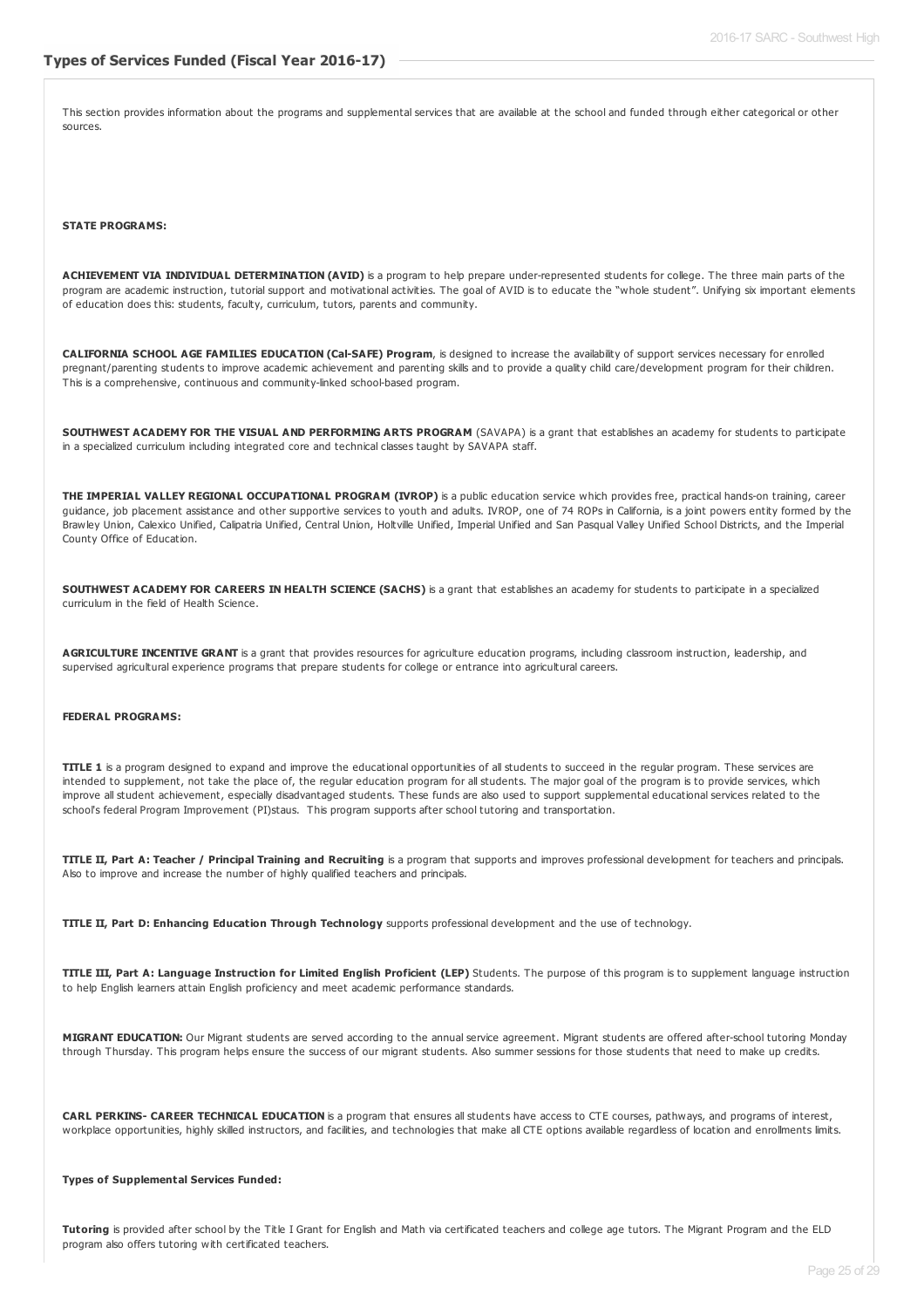This section provides information about the programs and supplemental services that are available at the school and funded through either categorical or other sources.

#### **STATE PROGRAMS:**

**ACHIEVEMENT VIA INDIVIDUAL DETERMINATION (AVID)** is a program to help prepare under-represented students for college. The three main parts of the program are academic instruction, tutorial support and motivational activities. The goal of AVID is to educate the "whole student". Unifying six important elements of education does this: students, faculty, curriculum, tutors, parents and community.

**CALIFORNIA SCHOOL AGE FAMILIES EDUCATION (Cal-SAFE) Program**, is designed to increase the availability of support services necessary for enrolled pregnant/parenting students to improve academic achievement and parenting skills and to provide a quality child care/development program for their children. This is a comprehensive, continuous and community-linked school-based program.

**SOUTHWEST ACADEMY FOR THE VISUAL AND PERFORMING ARTS PROGRAM** (SAVAPA) is a grant that establishes an academy for students to participate in a specialized curriculum including integrated core and technical classes taught by SAVAPA staff.

**THE IMPERIAL VALLEY REGIONAL OCCUPATIONAL PROGRAM (IVROP)** is a public education service which provides free, practical hands-on training, career guidance, job placement assistance and other supportive services to youth and adults. IVROP, one of 74 ROPs in California, is a joint powers entity formed by the Brawley Union, Calexico Unified, Calipatria Unified, Central Union, Holtville Unified, Imperial Unified and San Pasqual Valley Unified School Districts, and the Imperial County Office of Education.

**SOUTHWEST ACADEMY FOR CAREERS IN HEALTH SCIENCE (SACHS)** is a grant that establishes an academy for students to participate in a specialized curriculum in the field of Health Science.

**AGRICULTURE INCENTIVE GRANT** is a grant that provides resources for agriculture education programs, including classroom instruction, leadership, and supervised agricultural experience programs that prepare students for college or entrance into agricultural careers.

#### **FEDERAL PROGRAMS:**

**TITLE 1** is a program designed to expand and improve the educational opportunities of all students to succeed in the regular program. These services are intended to supplement, not take the place of, the regular education program for all students. The major goal of the program is to provide services, which improve all student achievement, especially disadvantaged students. These funds are also used to support supplemental educational services related to the school's federal Program Improvement (PI)staus. This program supports after school tutoring and transportation.

TITLE II, Part A: Teacher / Principal Training and Recruiting is a program that supports and improves professional development for teachers and principals. Also to improve and increase the number of highly qualified teachers and principals.

**TITLE II, Part D: Enhancing Education Through Technology** supports professional development and the use of technology.

TITLE III. Part A: Language Instruction for Limited English Proficient (LEP) Students. The purpose of this program is to supplement language instruction to help English learners attain English proficiency and meet academic performance standards.

**MIGRANT EDUCATION:** Our Migrant students are served according to the annual service agreement. Migrant students are offered after-school tutoring Monday through Thursday. This program helps ensure the success of our migrant students. Also summer sessions for those students that need to make up credits.

**CARL PERKINS- CAREER TECHNICAL EDUCATION** is a program that ensures all students have access to CTE courses, pathways, and programs of interest, workplace opportunities, highly skilled instructors, and facilities, and technologies that make all CTE options available regardless of location and enrollments limits.

#### **Types of Supplemental Services Funded:**

**Tutoring** is provided after school by the Title I Grant for English and Math via certificated teachers and college age tutors. The Migrant Program and the ELD program also offers tutoring with certificated teachers.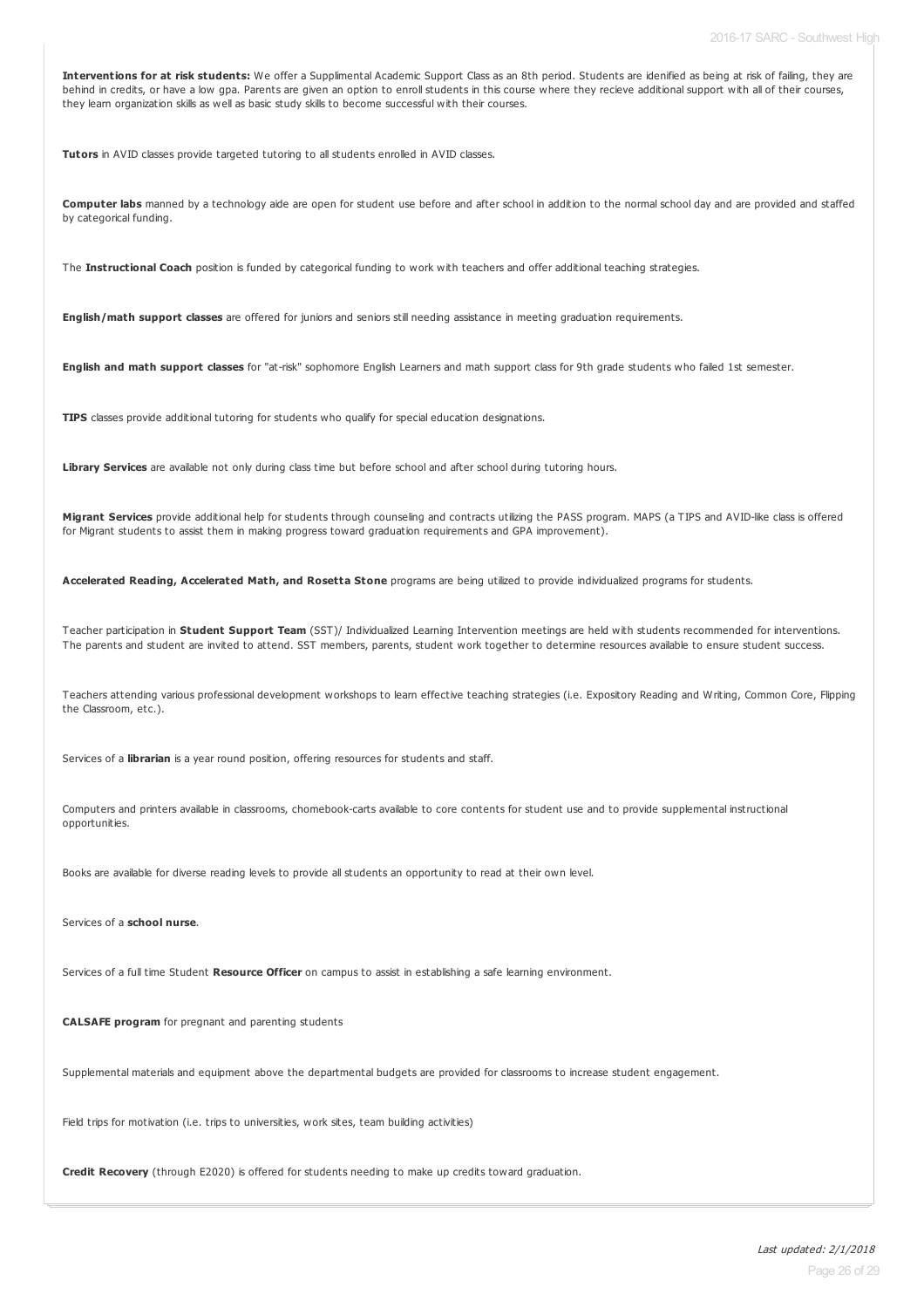**Interventions for at risk students:** We offer a Supplimental Academic Support Class as an 8th period. Students are idenified as being at risk of failing, they are behind in credits, or have a low gpa. Parents are given an option to enroll students in this course where they recieve additional support with all of their courses, they learn organization skills as well as basic study skills to become successful with their courses.

**Tutors** in AVID classes provide targeted tutoring to all students enrolled in AVID classes.

**Computer labs** manned by a technology aide are open for student use before and after school in addition to the normal school day and are provided and staffed by categorical funding.

The **Instructional Coach** position is funded by categorical funding to work with teachers and offer additional teaching strategies.

**English/math support classes** are offered for juniors and seniors still needing assistance in meeting graduation requirements.

**English and math support classes** for "at-risk" sophomore English Learners and math support class for 9th grade students who failed 1st semester.

**TIPS** classes provide additional tutoring for students who qualify for special education designations.

Library Services are available not only during class time but before school and after school during tutoring hours.

**Migrant Services** provide additional help for students through counseling and contracts utilizing the PASS program. MAPS (a TIPS and AVID-like class is offered for Migrant students to assist them in making progress toward graduation requirements and GPA improvement).

**Accelerated Reading, Accelerated Math, and Rosetta Stone** programs are being utilized to provide individualized programs for students.

Teacher participation in **Student Support Team** (SST)/ Individualized Learning Intervention meetings are held with students recommended for interventions. The parents and student are invited to attend. SST members, parents, student work together to determine resources available to ensure student success.

Teachers attending various professional development workshops to learn effective teaching strategies (i.e. Expository Reading and Writing, Common Core, Flipping the Classroom, etc.).

Services of a **librarian** is a year round position, offering resources for students and staff.

Computers and printers available in classrooms, chomebook-carts available to core contents for student use and to provide supplemental instructional opportunities.

Books are available for diverse reading levels to provide all students an opportunity to read at their own level.

Services of a **school nurse**.

Services of a full time Student **Resource Officer** on campus to assist in establishing a safe learning environment.

**CALSAFE program** for pregnant and parenting students

Supplemental materials and equipment above the departmental budgets are provided for classrooms to increase student engagement.

Field trips for motivation (i.e. trips to universities, work sites, team building activities)

**Credit Recovery** (through E2020) is offered for students needing to make up credits toward graduation.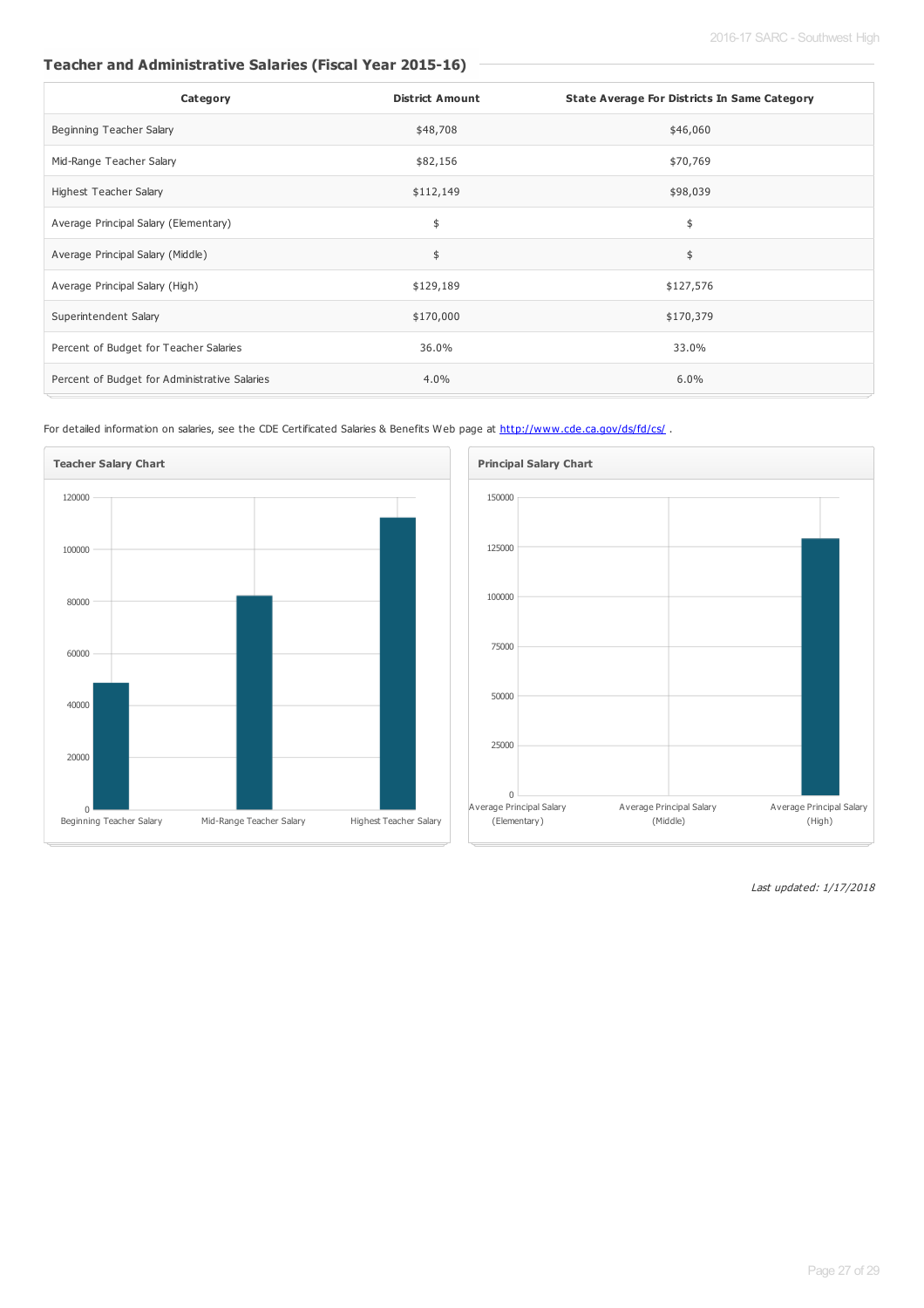## **Teacher and Administrative Salaries (Fiscal Year 2015-16)**

| Category                                      | <b>District Amount</b> | <b>State Average For Districts In Same Category</b> |
|-----------------------------------------------|------------------------|-----------------------------------------------------|
| Beginning Teacher Salary                      | \$48,708               | \$46,060                                            |
| Mid-Range Teacher Salary                      | \$82,156               | \$70,769                                            |
| Highest Teacher Salary                        | \$112,149              | \$98,039                                            |
| Average Principal Salary (Elementary)         | \$                     | \$                                                  |
| Average Principal Salary (Middle)             | \$                     | \$                                                  |
| Average Principal Salary (High)               | \$129,189              | \$127,576                                           |
| Superintendent Salary                         | \$170,000              | \$170,379                                           |
| Percent of Budget for Teacher Salaries        | 36.0%                  | 33.0%                                               |
| Percent of Budget for Administrative Salaries | 4.0%                   | 6.0%                                                |

For detailed information on salaries, see the CDE Certificated Salaries & Benefits Web page at <http://www.cde.ca.gov/ds/fd/cs/>.



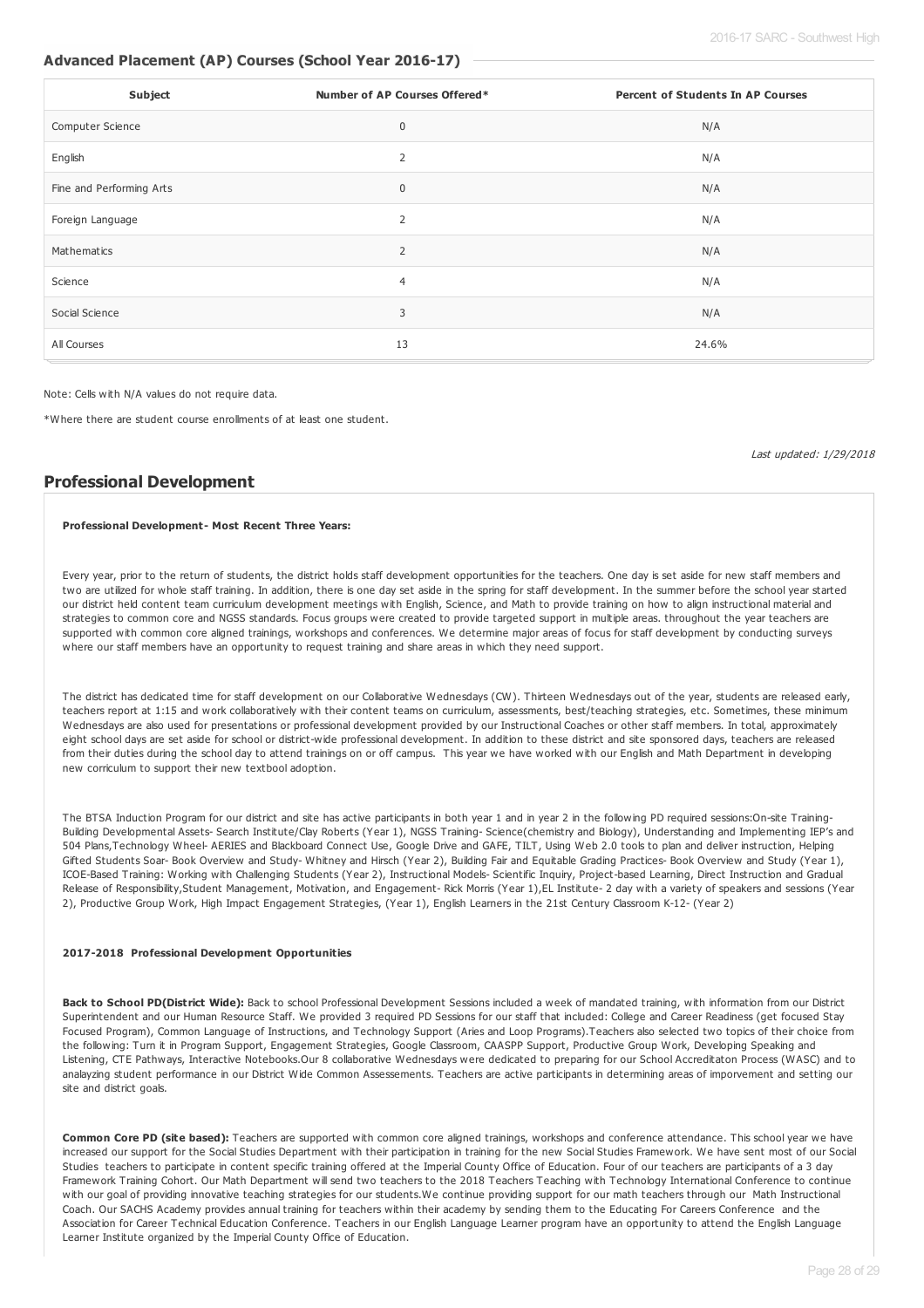## **Advanced Placement (AP) Courses (School Year 2016-17)**

| Subject                  | Number of AP Courses Offered* | <b>Percent of Students In AP Courses</b> |
|--------------------------|-------------------------------|------------------------------------------|
| Computer Science         | $\mathbf 0$                   | N/A                                      |
| English                  | 2                             | N/A                                      |
| Fine and Performing Arts | 0                             | N/A                                      |
| Foreign Language         | $\overline{2}$                | N/A                                      |
| Mathematics              | 2                             | N/A                                      |
| Science                  | $\overline{4}$                | N/A                                      |
| Social Science           | 3                             | N/A                                      |
| All Courses              | 13                            | 24.6%                                    |

Note: Cells with N/A values do not require data.

\*Where there are student course enrollments of at least one student.

Last updated: 1/29/2018

## **Professional Development**

#### **Professional Development- Most Recent Three Years:**

Every year, prior to the return of students, the district holds staff development opportunities for the teachers. One day is set aside for new staff members and two are utilized for whole staff training. In addition, there is one day set aside in the spring for staff development. In the summer before the school year started our district held content team curriculum development meetings with English, Science, and Math to provide training on how to align instructional material and strategies to common core and NGSS standards. Focus groups were created to provide targeted support in multiple areas. throughout the year teachers are supported with common core aligned trainings, workshops and conferences. We determine major areas of focus for staff development by conducting surveys where our staff members have an opportunity to request training and share areas in which they need support.

The district has dedicated time for staff development on our Collaborative Wednesdays (CW). Thirteen Wednesdays out of the year, students are released early, teachers report at 1:15 and work collaboratively with their content teams on curriculum, assessments, best/teaching strategies, etc. Sometimes, these minimum Wednesdays are also used for presentations or professional development provided by our Instructional Coaches or other staff members. In total, approximately eight school days are set aside for school or district-wide professional development. In addition to these district and site sponsored days, teachers are released from their duties during the school day to attend trainings on or off campus. This year we have worked with our English and Math Department in developing new corriculum to support their new textbool adoption.

The BTSA Induction Program for our district and site has active participants in both year 1 and in year 2 in the following PD required sessions:On-site Training-Building Developmental Assets- Search Institute/Clay Roberts (Year 1), NGSS Training- Science(chemistry and Biology), Understanding and Implementing IEP's and 504 Plans,Technology Wheel- AERIES and Blackboard Connect Use, Google Drive and GAFE, TILT, Using Web 2.0 tools to plan and deliver instruction, Helping Gifted Students Soar-Book Overview and Study-Whitney and Hirsch (Year 2), Building Fair and Equitable Grading Practices-Book Overview and Study (Year 1), ICOE-Based Training: Working with Challenging Students (Year 2), Instructional Models- Scientific Inquiry, Project-based Learning, Direct Instruction and Gradual Release of Responsibility,Student Management, Motivation, and Engagement- Rick Morris (Year 1),EL Institute- 2 day with a variety of speakers and sessions (Year 2), Productive Group Work, High Impact Engagement Strategies, (Year 1), English Learners in the 21st Century Classroom K-12- (Year 2)

#### **2017-2018 Professional Development Opportunities**

**Back to School PD(District Wide):** Back to school Professional Development Sessions included a week of mandated training, with information from our District Superintendent and our Human Resource Staff. We provided 3 required PD Sessions for our staff that included: College and Career Readiness (get focused Stay Focused Program), Common Language of Instructions, and Technology Support (Aries and Loop Programs).Teachers also selected two topics of their choice from the following: Turn it in Program Support, Engagement Strategies, Google Classroom, CAASPP Support, Productive Group Work, Developing Speaking and Listening, CTE Pathways, Interactive Notebooks.Our 8 collaborative Wednesdays were dedicated to preparing for our School Accreditaton Process (WASC) and to analayzing student performance in our District Wide Common Assessements. Teachers are active participants in determining areas of imporvement and setting our site and district goals.

**Common Core PD (site based):** Teachers are supported with common core aligned trainings, workshops and conference attendance. This school year we have increased our support for the Social Studies Department with their participation in training for the new Social Studies Framework. We have sent most of our Social Studies teachers to participate in content specific training offered at the Imperial County Office of Education. Four of our teachers are participants of a 3 day Framework Training Cohort. Our Math Department will send two teachers to the 2018 Teachers Teaching with Technology International Conference to continue with our goal of providing innovative teaching strategies for our students.We continue providing support for our math teachers through our Math Instructional Coach. Our SACHS Academy provides annual training for teachers within their academy by sending them to the Educating For Careers Conference and the Association for Career Technical Education Conference. Teachers in our English Language Learner program have an opportunity to attend the English Language Learner Institute organized by the Imperial County Office of Education.